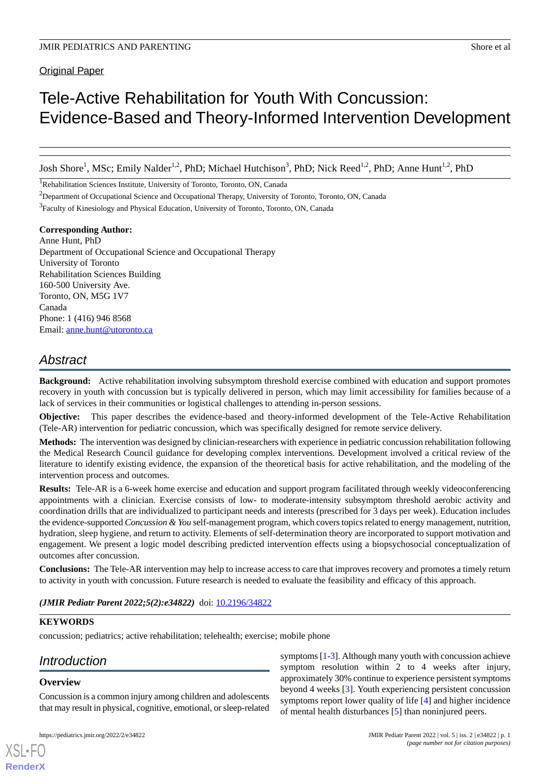Original Paper

# Tele-Active Rehabilitation for Youth With Concussion: Evidence-Based and Theory-Informed Intervention Development

Josh Shore<sup>1</sup>, MSc; Emily Nalder<sup>1,2</sup>, PhD; Michael Hutchison<sup>3</sup>, PhD; Nick Reed<sup>1,2</sup>, PhD; Anne Hunt<sup>1,2</sup>, PhD

<sup>1</sup>Rehabilitation Sciences Institute, University of Toronto, Toronto, ON, Canada

<sup>2</sup>Department of Occupational Science and Occupational Therapy, University of Toronto, Toronto, ON, Canada

<sup>3</sup> Faculty of Kinesiology and Physical Education, University of Toronto, Toronto, ON, Canada

## **Corresponding Author:**

Anne Hunt, PhD Department of Occupational Science and Occupational Therapy University of Toronto Rehabilitation Sciences Building 160-500 University Ave. Toronto, ON, M5G 1V7 Canada Phone: 1 (416) 946 8568 Email: [anne.hunt@utoronto.ca](mailto:anne.hunt@utoronto.ca)

## *Abstract*

**Background:** Active rehabilitation involving subsymptom threshold exercise combined with education and support promotes recovery in youth with concussion but is typically delivered in person, which may limit accessibility for families because of a lack of services in their communities or logistical challenges to attending in-person sessions.

**Objective:** This paper describes the evidence-based and theory-informed development of the Tele-Active Rehabilitation (Tele-AR) intervention for pediatric concussion, which was specifically designed for remote service delivery.

**Methods:** The intervention was designed by clinician-researchers with experience in pediatric concussion rehabilitation following the Medical Research Council guidance for developing complex interventions. Development involved a critical review of the literature to identify existing evidence, the expansion of the theoretical basis for active rehabilitation, and the modeling of the intervention process and outcomes.

**Results:** Tele-AR is a 6-week home exercise and education and support program facilitated through weekly videoconferencing appointments with a clinician. Exercise consists of low- to moderate-intensity subsymptom threshold aerobic activity and coordination drills that are individualized to participant needs and interests (prescribed for 3 days per week). Education includes the evidence-supported *Concussion & You* self-management program, which covers topics related to energy management, nutrition, hydration, sleep hygiene, and return to activity. Elements of self-determination theory are incorporated to support motivation and engagement. We present a logic model describing predicted intervention effects using a biopsychosocial conceptualization of outcomes after concussion.

**Conclusions:** The Tele-AR intervention may help to increase access to care that improves recovery and promotes a timely return to activity in youth with concussion. Future research is needed to evaluate the feasibility and efficacy of this approach.

*(JMIR Pediatr Parent 2022;5(2):e34822)* doi: [10.2196/34822](http://dx.doi.org/10.2196/34822)

## **KEYWORDS**

concussion; pediatrics; active rehabilitation; telehealth; exercise; mobile phone

## *Introduction*

## **Overview**

[XSL](http://www.w3.org/Style/XSL)•FO **[RenderX](http://www.renderx.com/)**

Concussion is a common injury among children and adolescents that may result in physical, cognitive, emotional, or sleep-related

symptoms [[1](#page-12-0)-[3\]](#page-12-1). Although many youth with concussion achieve symptom resolution within 2 to 4 weeks after injury, approximately 30% continue to experience persistent symptoms beyond 4 weeks [[3\]](#page-12-1). Youth experiencing persistent concussion symptoms report lower quality of life [[4\]](#page-12-2) and higher incidence of mental health disturbances [[5\]](#page-12-3) than noninjured peers.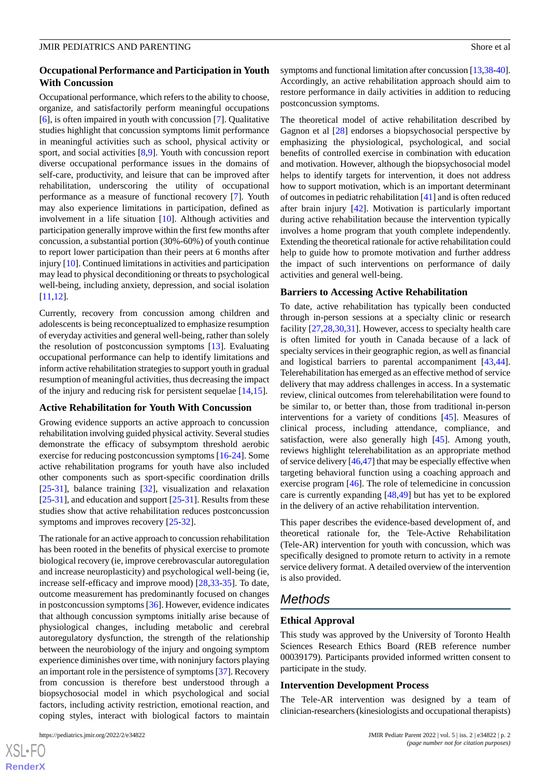## **Occupational Performance and Participation in Youth With Concussion**

Occupational performance, which refers to the ability to choose, organize, and satisfactorily perform meaningful occupations [[6\]](#page-12-4), is often impaired in youth with concussion [\[7](#page-12-5)]. Qualitative studies highlight that concussion symptoms limit performance in meaningful activities such as school, physical activity or sport, and social activities [[8,](#page-12-6)[9](#page-12-7)]. Youth with concussion report diverse occupational performance issues in the domains of self-care, productivity, and leisure that can be improved after rehabilitation, underscoring the utility of occupational performance as a measure of functional recovery [\[7](#page-12-5)]. Youth may also experience limitations in participation, defined as involvement in a life situation [[10\]](#page-12-8). Although activities and participation generally improve within the first few months after concussion, a substantial portion (30%-60%) of youth continue to report lower participation than their peers at 6 months after injury [[10\]](#page-12-8). Continued limitations in activities and participation may lead to physical deconditioning or threats to psychological well-being, including anxiety, depression, and social isolation [[11](#page-12-9)[,12](#page-12-10)].

Currently, recovery from concussion among children and adolescents is being reconceptualized to emphasize resumption of everyday activities and general well-being, rather than solely the resolution of postconcussion symptoms [[13\]](#page-13-0). Evaluating occupational performance can help to identify limitations and inform active rehabilitation strategies to support youth in gradual resumption of meaningful activities, thus decreasing the impact of the injury and reducing risk for persistent sequelae [[14,](#page-13-1)[15](#page-13-2)].

## **Active Rehabilitation for Youth With Concussion**

Growing evidence supports an active approach to concussion rehabilitation involving guided physical activity. Several studies demonstrate the efficacy of subsymptom threshold aerobic exercise for reducing postconcussion symptoms [[16-](#page-13-3)[24\]](#page-13-4). Some active rehabilitation programs for youth have also included other components such as sport-specific coordination drills [[25](#page-13-5)[-31](#page-13-6)], balance training [\[32](#page-13-7)], visualization and relaxation  $[25-31]$  $[25-31]$  $[25-31]$  $[25-31]$ , and education and support  $[25-31]$  $[25-31]$  $[25-31]$  $[25-31]$ . Results from these studies show that active rehabilitation reduces postconcussion symptoms and improves recovery [\[25](#page-13-5)[-32](#page-13-7)].

The rationale for an active approach to concussion rehabilitation has been rooted in the benefits of physical exercise to promote biological recovery (ie, improve cerebrovascular autoregulation and increase neuroplasticity) and psychological well-being (ie, increase self-efficacy and improve mood) [\[28](#page-13-8),[33-](#page-13-9)[35\]](#page-14-0). To date, outcome measurement has predominantly focused on changes in postconcussion symptoms [\[36](#page-14-1)]. However, evidence indicates that although concussion symptoms initially arise because of physiological changes, including metabolic and cerebral autoregulatory dysfunction, the strength of the relationship between the neurobiology of the injury and ongoing symptom experience diminishes over time, with noninjury factors playing an important role in the persistence of symptoms [\[37](#page-14-2)]. Recovery from concussion is therefore best understood through a biopsychosocial model in which psychological and social factors, including activity restriction, emotional reaction, and coping styles, interact with biological factors to maintain

 $XS$ -FO **[RenderX](http://www.renderx.com/)** symptoms and functional limitation after concussion [\[13](#page-13-0)[,38](#page-14-3)[-40](#page-14-4)]. Accordingly, an active rehabilitation approach should aim to restore performance in daily activities in addition to reducing postconcussion symptoms.

The theoretical model of active rehabilitation described by Gagnon et al [\[28](#page-13-8)] endorses a biopsychosocial perspective by emphasizing the physiological, psychological, and social benefits of controlled exercise in combination with education and motivation. However, although the biopsychosocial model helps to identify targets for intervention, it does not address how to support motivation, which is an important determinant of outcomes in pediatric rehabilitation [[41\]](#page-14-5) and is often reduced after brain injury [\[42](#page-14-6)]. Motivation is particularly important during active rehabilitation because the intervention typically involves a home program that youth complete independently. Extending the theoretical rationale for active rehabilitation could help to guide how to promote motivation and further address the impact of such interventions on performance of daily activities and general well-being.

#### **Barriers to Accessing Active Rehabilitation**

To date, active rehabilitation has typically been conducted through in-person sessions at a specialty clinic or research facility [[27,](#page-13-10)[28](#page-13-8)[,30](#page-13-11)[,31](#page-13-6)]. However, access to specialty health care is often limited for youth in Canada because of a lack of specialty services in their geographic region, as well as financial and logistical barriers to parental accompaniment [\[43](#page-14-7),[44\]](#page-14-8). Telerehabilitation has emerged as an effective method of service delivery that may address challenges in access. In a systematic review, clinical outcomes from telerehabilitation were found to be similar to, or better than, those from traditional in-person interventions for a variety of conditions [[45\]](#page-14-9). Measures of clinical process, including attendance, compliance, and satisfaction, were also generally high [\[45](#page-14-9)]. Among youth, reviews highlight telerehabilitation as an appropriate method of service delivery [\[46](#page-14-10),[47\]](#page-14-11) that may be especially effective when targeting behavioral function using a coaching approach and exercise program [\[46](#page-14-10)]. The role of telemedicine in concussion care is currently expanding [\[48](#page-14-12),[49\]](#page-14-13) but has yet to be explored in the delivery of an active rehabilitation intervention.

This paper describes the evidence-based development of, and theoretical rationale for, the Tele-Active Rehabilitation (Tele-AR) intervention for youth with concussion, which was specifically designed to promote return to activity in a remote service delivery format. A detailed overview of the intervention is also provided.

## *Methods*

#### **Ethical Approval**

This study was approved by the University of Toronto Health Sciences Research Ethics Board (REB reference number 00039179). Participants provided informed written consent to participate in the study.

#### **Intervention Development Process**

The Tele-AR intervention was designed by a team of clinician-researchers (kinesiologists and occupational therapists)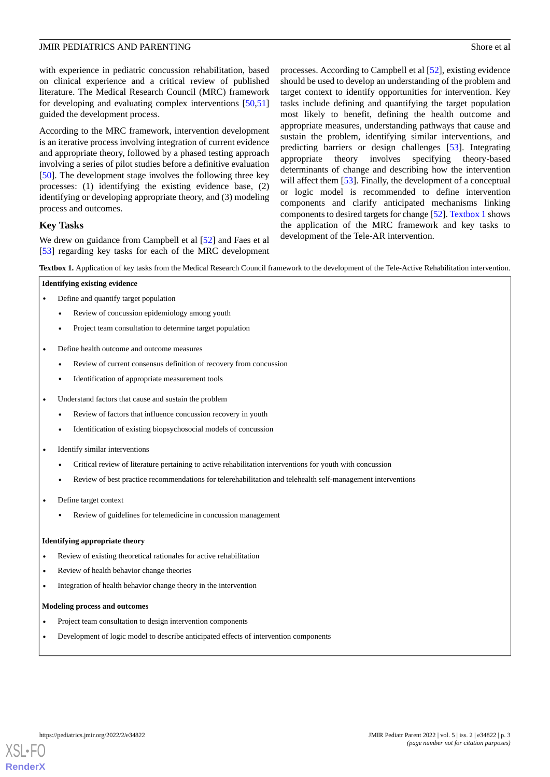with experience in pediatric concussion rehabilitation, based on clinical experience and a critical review of published literature. The Medical Research Council (MRC) framework for developing and evaluating complex interventions [[50](#page-14-14)[,51](#page-14-15)] guided the development process.

According to the MRC framework, intervention development is an iterative process involving integration of current evidence and appropriate theory, followed by a phased testing approach involving a series of pilot studies before a definitive evaluation [[50\]](#page-14-14). The development stage involves the following three key processes: (1) identifying the existing evidence base, (2) identifying or developing appropriate theory, and (3) modeling process and outcomes.

processes. According to Campbell et al [\[52](#page-14-16)], existing evidence should be used to develop an understanding of the problem and target context to identify opportunities for intervention. Key tasks include defining and quantifying the target population most likely to benefit, defining the health outcome and appropriate measures, understanding pathways that cause and sustain the problem, identifying similar interventions, and predicting barriers or design challenges [[53\]](#page-14-17). Integrating appropriate theory involves specifying theory-based determinants of change and describing how the intervention will affect them [\[53](#page-14-17)]. Finally, the development of a conceptual or logic model is recommended to define intervention components and clarify anticipated mechanisms linking components to desired targets for change [\[52](#page-14-16)]. [Textbox 1](#page-2-0) shows the application of the MRC framework and key tasks to development of the Tele-AR intervention.

## **Key Tasks**

<span id="page-2-0"></span>We drew on guidance from Campbell et al [\[52](#page-14-16)] and Faes et al [[53\]](#page-14-17) regarding key tasks for each of the MRC development

**Textbox 1.** Application of key tasks from the Medical Research Council framework to the development of the Tele-Active Rehabilitation intervention.

| Identifying existing evidence |  |                                               |  |  |
|-------------------------------|--|-----------------------------------------------|--|--|
|                               |  | Define and quantify target population         |  |  |
|                               |  | Review of concussion epidemiology among youth |  |  |

- Project team consultation to determine target population
- Define health outcome and outcome measures
	- Review of current consensus definition of recovery from concussion
	- Identification of appropriate measurement tools
- Understand factors that cause and sustain the problem
	- Review of factors that influence concussion recovery in youth
	- Identification of existing biopsychosocial models of concussion
- Identify similar interventions
	- Critical review of literature pertaining to active rehabilitation interventions for youth with concussion
	- Review of best practice recommendations for telerehabilitation and telehealth self-management interventions
- Define target context
	- Review of guidelines for telemedicine in concussion management

#### **Identifying appropriate theory**

- Review of existing theoretical rationales for active rehabilitation
- Review of health behavior change theories
- Integration of health behavior change theory in the intervention

#### **Modeling process and outcomes**

- Project team consultation to design intervention components
- Development of logic model to describe anticipated effects of intervention components

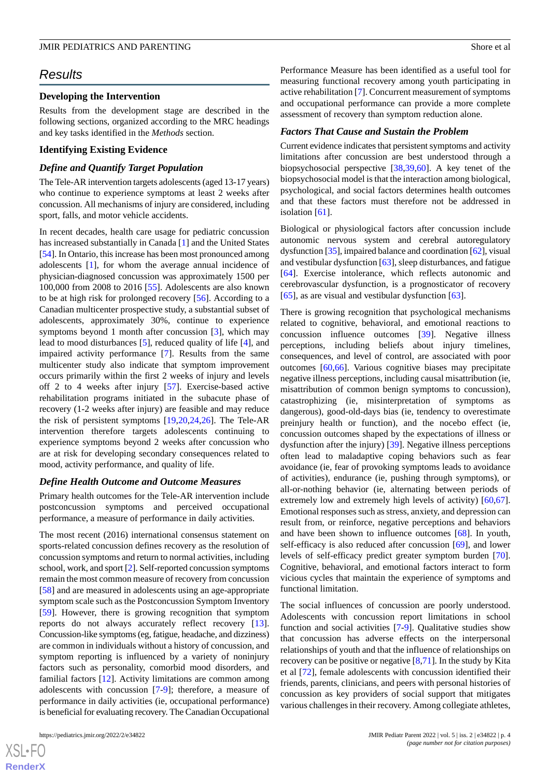## *Results*

## **Developing the Intervention**

Results from the development stage are described in the following sections, organized according to the MRC headings and key tasks identified in the *Methods* section.

#### **Identifying Existing Evidence**

#### *Define and Quantify Target Population*

The Tele-AR intervention targets adolescents (aged 13-17 years) who continue to experience symptoms at least 2 weeks after concussion. All mechanisms of injury are considered, including sport, falls, and motor vehicle accidents.

In recent decades, health care usage for pediatric concussion has increased substantially in Canada [\[1\]](#page-12-0) and the United States [[54\]](#page-14-18). In Ontario, this increase has been most pronounced among adolescents [\[1](#page-12-0)], for whom the average annual incidence of physician-diagnosed concussion was approximately 1500 per 100,000 from 2008 to 2016 [\[55](#page-14-19)]. Adolescents are also known to be at high risk for prolonged recovery [[56\]](#page-14-20). According to a Canadian multicenter prospective study, a substantial subset of adolescents, approximately 30%, continue to experience symptoms beyond 1 month after concussion [[3\]](#page-12-1), which may lead to mood disturbances [\[5](#page-12-3)], reduced quality of life [[4\]](#page-12-2), and impaired activity performance [[7\]](#page-12-5). Results from the same multicenter study also indicate that symptom improvement occurs primarily within the first 2 weeks of injury and levels off 2 to 4 weeks after injury [[57\]](#page-15-0). Exercise-based active rehabilitation programs initiated in the subacute phase of recovery (1-2 weeks after injury) are feasible and may reduce the risk of persistent symptoms [[19,](#page-13-12)[20](#page-13-13),[24,](#page-13-4)[26](#page-13-14)]. The Tele-AR intervention therefore targets adolescents continuing to experience symptoms beyond 2 weeks after concussion who are at risk for developing secondary consequences related to mood, activity performance, and quality of life.

#### *Define Health Outcome and Outcome Measures*

Primary health outcomes for the Tele-AR intervention include postconcussion symptoms and perceived occupational performance, a measure of performance in daily activities.

The most recent (2016) international consensus statement on sports-related concussion defines recovery as the resolution of concussion symptoms and return to normal activities, including school, work, and sport [\[2](#page-12-11)]. Self-reported concussion symptoms remain the most common measure of recovery from concussion [[58\]](#page-15-1) and are measured in adolescents using an age-appropriate symptom scale such as the Postconcussion Symptom Inventory [[59\]](#page-15-2). However, there is growing recognition that symptom reports do not always accurately reflect recovery [[13\]](#page-13-0). Concussion-like symptoms (eg, fatigue, headache, and dizziness) are common in individuals without a history of concussion, and symptom reporting is influenced by a variety of noninjury factors such as personality, comorbid mood disorders, and familial factors [\[12](#page-12-10)]. Activity limitations are common among adolescents with concussion [\[7-](#page-12-5)[9\]](#page-12-7); therefore, a measure of performance in daily activities (ie, occupational performance) is beneficial for evaluating recovery. The Canadian Occupational

[XSL](http://www.w3.org/Style/XSL)•FO **[RenderX](http://www.renderx.com/)** Performance Measure has been identified as a useful tool for measuring functional recovery among youth participating in active rehabilitation [\[7](#page-12-5)]. Concurrent measurement of symptoms and occupational performance can provide a more complete assessment of recovery than symptom reduction alone.

#### *Factors That Cause and Sustain the Problem*

Current evidence indicates that persistent symptoms and activity limitations after concussion are best understood through a biopsychosocial perspective [\[38](#page-14-3),[39](#page-14-21)[,60](#page-15-3)]. A key tenet of the biopsychosocial model is that the interaction among biological, psychological, and social factors determines health outcomes and that these factors must therefore not be addressed in isolation [[61\]](#page-15-4).

Biological or physiological factors after concussion include autonomic nervous system and cerebral autoregulatory dysfunction [\[35\]](#page-14-0), impaired balance and coordination [[62\]](#page-15-5), visual and vestibular dysfunction [[63\]](#page-15-6), sleep disturbances, and fatigue [[64\]](#page-15-7). Exercise intolerance, which reflects autonomic and cerebrovascular dysfunction, is a prognosticator of recovery [[65\]](#page-15-8), as are visual and vestibular dysfunction [[63\]](#page-15-6).

There is growing recognition that psychological mechanisms related to cognitive, behavioral, and emotional reactions to concussion influence outcomes [\[39](#page-14-21)]. Negative illness perceptions, including beliefs about injury timelines, consequences, and level of control, are associated with poor outcomes [[60](#page-15-3)[,66](#page-15-9)]. Various cognitive biases may precipitate negative illness perceptions, including causal misattribution (ie, misattribution of common benign symptoms to concussion), catastrophizing (ie, misinterpretation of symptoms as dangerous), good-old-days bias (ie, tendency to overestimate preinjury health or function), and the nocebo effect (ie, concussion outcomes shaped by the expectations of illness or dysfunction after the injury) [\[39](#page-14-21)]. Negative illness perceptions often lead to maladaptive coping behaviors such as fear avoidance (ie, fear of provoking symptoms leads to avoidance of activities), endurance (ie, pushing through symptoms), or all-or-nothing behavior (ie, alternating between periods of extremely low and extremely high levels of activity) [\[60](#page-15-3),[67\]](#page-15-10). Emotional responses such as stress, anxiety, and depression can result from, or reinforce, negative perceptions and behaviors and have been shown to influence outcomes [[68\]](#page-15-11). In youth, self-efficacy is also reduced after concussion [\[69](#page-15-12)], and lower levels of self-efficacy predict greater symptom burden [[70\]](#page-15-13). Cognitive, behavioral, and emotional factors interact to form vicious cycles that maintain the experience of symptoms and functional limitation.

The social influences of concussion are poorly understood. Adolescents with concussion report limitations in school function and social activities [\[7](#page-12-5)-[9\]](#page-12-7). Qualitative studies show that concussion has adverse effects on the interpersonal relationships of youth and that the influence of relationships on recovery can be positive or negative [[8](#page-12-6)[,71](#page-15-14)]. In the study by Kita et al [\[72](#page-15-15)], female adolescents with concussion identified their friends, parents, clinicians, and peers with personal histories of concussion as key providers of social support that mitigates various challenges in their recovery. Among collegiate athletes,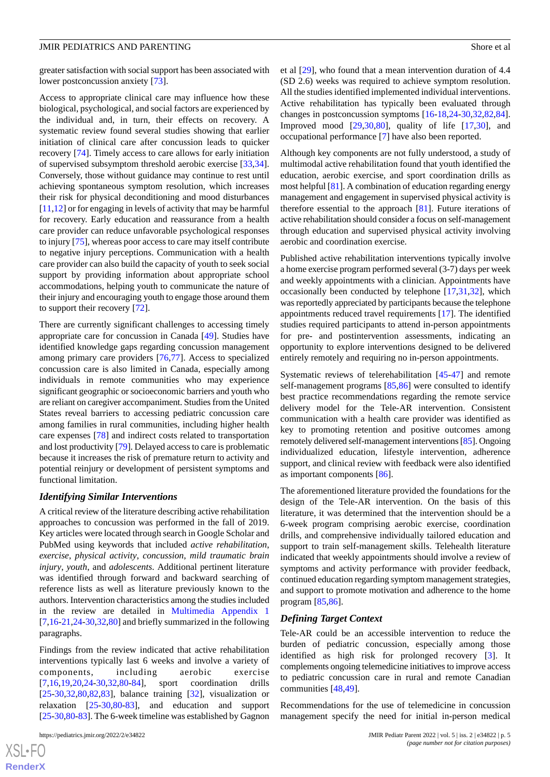greater satisfaction with social support has been associated with lower postconcussion anxiety [\[73](#page-15-16)].

Access to appropriate clinical care may influence how these biological, psychological, and social factors are experienced by the individual and, in turn, their effects on recovery. A systematic review found several studies showing that earlier initiation of clinical care after concussion leads to quicker recovery [\[74](#page-15-17)]. Timely access to care allows for early initiation of supervised subsymptom threshold aerobic exercise [\[33](#page-13-9),[34\]](#page-13-15). Conversely, those without guidance may continue to rest until achieving spontaneous symptom resolution, which increases their risk for physical deconditioning and mood disturbances [[11](#page-12-9)[,12](#page-12-10)] or for engaging in levels of activity that may be harmful for recovery. Early education and reassurance from a health care provider can reduce unfavorable psychological responses to injury [[75\]](#page-15-18), whereas poor access to care may itself contribute to negative injury perceptions. Communication with a health care provider can also build the capacity of youth to seek social support by providing information about appropriate school accommodations, helping youth to communicate the nature of their injury and encouraging youth to engage those around them to support their recovery [[72\]](#page-15-15).

There are currently significant challenges to accessing timely appropriate care for concussion in Canada [\[49](#page-14-13)]. Studies have identified knowledge gaps regarding concussion management among primary care providers [[76,](#page-15-19)[77](#page-15-20)]. Access to specialized concussion care is also limited in Canada, especially among individuals in remote communities who may experience significant geographic or socioeconomic barriers and youth who are reliant on caregiver accompaniment. Studies from the United States reveal barriers to accessing pediatric concussion care among families in rural communities, including higher health care expenses [\[78](#page-15-21)] and indirect costs related to transportation and lost productivity [\[79](#page-16-0)]. Delayed access to care is problematic because it increases the risk of premature return to activity and potential reinjury or development of persistent symptoms and functional limitation.

#### *Identifying Similar Interventions*

A critical review of the literature describing active rehabilitation approaches to concussion was performed in the fall of 2019. Key articles were located through search in Google Scholar and PubMed using keywords that included *active rehabilitation*, *exercise*, *physical activity*, *concussion*, *mild traumatic brain injury*, *youth*, and *adolescents*. Additional pertinent literature was identified through forward and backward searching of reference lists as well as literature previously known to the authors. Intervention characteristics among the studies included in the review are detailed in [Multimedia Appendix 1](#page-12-12)  $[7,16-21,24-30,32,80]$  $[7,16-21,24-30,32,80]$  $[7,16-21,24-30,32,80]$  $[7,16-21,24-30,32,80]$  $[7,16-21,24-30,32,80]$  $[7,16-21,24-30,32,80]$  $[7,16-21,24-30,32,80]$  $[7,16-21,24-30,32,80]$  $[7,16-21,24-30,32,80]$  $[7,16-21,24-30,32,80]$  and briefly summarized in the following paragraphs.

Findings from the review indicated that active rehabilitation interventions typically last 6 weeks and involve a variety of components, including aerobic exercise [[7](#page-12-5)[,16](#page-13-3),[19](#page-13-12)[,20](#page-13-13),[24](#page-13-4)[-30](#page-13-11),[32,](#page-13-7)[80](#page-16-1)[-84](#page-16-2)], sport coordination drills [[25](#page-13-5)[-30](#page-13-11),[32,](#page-13-7)[80](#page-16-1),[82,](#page-16-3)[83](#page-16-4)], balance training [[32\]](#page-13-7), visualization or relaxation [\[25](#page-13-5)-[30](#page-13-11)[,80](#page-16-1)-[83\]](#page-16-4), and education and support [[25-](#page-13-5)[30](#page-13-11)[,80](#page-16-1)-[83](#page-16-4)]. The 6-week timeline was established by Gagnon

et al [\[29](#page-13-17)], who found that a mean intervention duration of 4.4 (SD 2.6) weeks was required to achieve symptom resolution. All the studies identified implemented individual interventions. Active rehabilitation has typically been evaluated through changes in postconcussion symptoms [\[16](#page-13-3)-[18,](#page-13-18)[24](#page-13-4)[-30](#page-13-11),[32](#page-13-7)[,82](#page-16-3),[84\]](#page-16-2). Improved mood [\[29](#page-13-17),[30,](#page-13-11)[80](#page-16-1)], quality of life [\[17](#page-13-19),[30\]](#page-13-11), and occupational performance [[7\]](#page-12-5) have also been reported.

Although key components are not fully understood, a study of multimodal active rehabilitation found that youth identified the education, aerobic exercise, and sport coordination drills as most helpful [\[81\]](#page-16-5). A combination of education regarding energy management and engagement in supervised physical activity is therefore essential to the approach  $[81]$  $[81]$ . Future iterations of active rehabilitation should consider a focus on self-management through education and supervised physical activity involving aerobic and coordination exercise.

Published active rehabilitation interventions typically involve a home exercise program performed several (3-7) days per week and weekly appointments with a clinician. Appointments have occasionally been conducted by telephone [[17](#page-13-19)[,31](#page-13-6),[32\]](#page-13-7), which was reportedly appreciated by participants because the telephone appointments reduced travel requirements [[17\]](#page-13-19). The identified studies required participants to attend in-person appointments for pre- and postintervention assessments, indicating an opportunity to explore interventions designed to be delivered entirely remotely and requiring no in-person appointments.

Systematic reviews of telerehabilitation [\[45](#page-14-9)[-47](#page-14-11)] and remote self-management programs [\[85](#page-16-6),[86\]](#page-16-7) were consulted to identify best practice recommendations regarding the remote service delivery model for the Tele-AR intervention. Consistent communication with a health care provider was identified as key to promoting retention and positive outcomes among remotely delivered self-management interventions [[85](#page-16-6)]. Ongoing individualized education, lifestyle intervention, adherence support, and clinical review with feedback were also identified as important components [\[86](#page-16-7)].

The aforementioned literature provided the foundations for the design of the Tele-AR intervention. On the basis of this literature, it was determined that the intervention should be a 6-week program comprising aerobic exercise, coordination drills, and comprehensive individually tailored education and support to train self-management skills. Telehealth literature indicated that weekly appointments should involve a review of symptoms and activity performance with provider feedback, continued education regarding symptom management strategies, and support to promote motivation and adherence to the home program [\[85](#page-16-6),[86\]](#page-16-7).

#### *Defining Target Context*

Tele-AR could be an accessible intervention to reduce the burden of pediatric concussion, especially among those identified as high risk for prolonged recovery [[3\]](#page-12-1). It complements ongoing telemedicine initiatives to improve access to pediatric concussion care in rural and remote Canadian communities [\[48](#page-14-12),[49\]](#page-14-13).

Recommendations for the use of telemedicine in concussion management specify the need for initial in-person medical

 $XS$ -FO **[RenderX](http://www.renderx.com/)**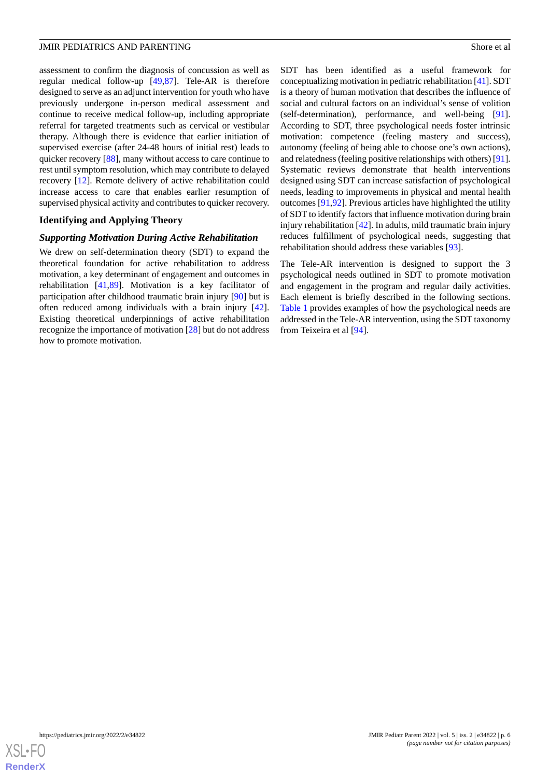assessment to confirm the diagnosis of concussion as well as regular medical follow-up [[49,](#page-14-13)[87](#page-16-8)]. Tele-AR is therefore designed to serve as an adjunct intervention for youth who have previously undergone in-person medical assessment and continue to receive medical follow-up, including appropriate referral for targeted treatments such as cervical or vestibular therapy. Although there is evidence that earlier initiation of supervised exercise (after 24-48 hours of initial rest) leads to quicker recovery [[88\]](#page-16-9), many without access to care continue to rest until symptom resolution, which may contribute to delayed recovery [\[12](#page-12-10)]. Remote delivery of active rehabilitation could increase access to care that enables earlier resumption of supervised physical activity and contributes to quicker recovery.

## **Identifying and Applying Theory**

## *Supporting Motivation During Active Rehabilitation*

We drew on self-determination theory (SDT) to expand the theoretical foundation for active rehabilitation to address motivation, a key determinant of engagement and outcomes in rehabilitation [\[41](#page-14-5)[,89](#page-16-10)]. Motivation is a key facilitator of participation after childhood traumatic brain injury [[90\]](#page-16-11) but is often reduced among individuals with a brain injury [[42\]](#page-14-6). Existing theoretical underpinnings of active rehabilitation recognize the importance of motivation [\[28](#page-13-8)] but do not address how to promote motivation.

SDT has been identified as a useful framework for conceptualizing motivation in pediatric rehabilitation [\[41](#page-14-5)]. SDT is a theory of human motivation that describes the influence of social and cultural factors on an individual's sense of volition (self-determination), performance, and well-being [[91\]](#page-16-12). According to SDT, three psychological needs foster intrinsic motivation: competence (feeling mastery and success), autonomy (feeling of being able to choose one's own actions), and relatedness (feeling positive relationships with others) [\[91\]](#page-16-12). Systematic reviews demonstrate that health interventions designed using SDT can increase satisfaction of psychological needs, leading to improvements in physical and mental health outcomes [[91,](#page-16-12)[92\]](#page-16-13). Previous articles have highlighted the utility of SDT to identify factors that influence motivation during brain injury rehabilitation [[42\]](#page-14-6). In adults, mild traumatic brain injury reduces fulfillment of psychological needs, suggesting that rehabilitation should address these variables [[93\]](#page-16-14).

The Tele-AR intervention is designed to support the 3 psychological needs outlined in SDT to promote motivation and engagement in the program and regular daily activities. Each element is briefly described in the following sections. [Table 1](#page-6-0) provides examples of how the psychological needs are addressed in the Tele-AR intervention, using the SDT taxonomy from Teixeira et al [\[94](#page-16-15)].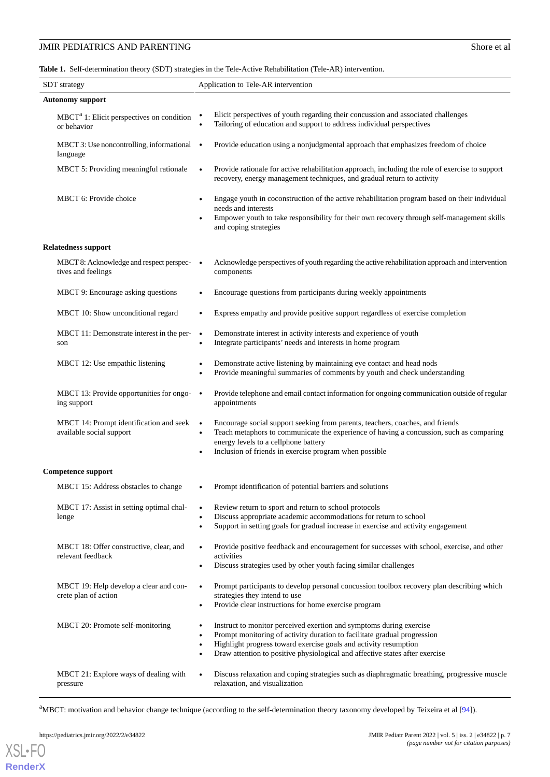<span id="page-6-0"></span>**Table 1.** Self-determination theory (SDT) strategies in the Tele-Active Rehabilitation (Tele-AR) intervention.

| <b>SDT</b> strategy                                                 | Application to Tele-AR intervention                                                                                                                                                                                                                                                                                                                     |  |  |  |
|---------------------------------------------------------------------|---------------------------------------------------------------------------------------------------------------------------------------------------------------------------------------------------------------------------------------------------------------------------------------------------------------------------------------------------------|--|--|--|
| <b>Autonomy support</b>                                             |                                                                                                                                                                                                                                                                                                                                                         |  |  |  |
| $MBCTa$ 1: Elicit perspectives on condition<br>or behavior          | Elicit perspectives of youth regarding their concussion and associated challenges<br>$\bullet$<br>Tailoring of education and support to address individual perspectives                                                                                                                                                                                 |  |  |  |
| MBCT 3: Use noncontrolling, informational<br>language               | Provide education using a nonjudgmental approach that emphasizes freedom of choice<br>$\bullet$                                                                                                                                                                                                                                                         |  |  |  |
| MBCT 5: Providing meaningful rationale                              | Provide rationale for active rehabilitation approach, including the role of exercise to support<br>$\bullet$<br>recovery, energy management techniques, and gradual return to activity                                                                                                                                                                  |  |  |  |
| MBCT 6: Provide choice                                              | Engage youth in coconstruction of the active rehabilitation program based on their individual<br>$\bullet$<br>needs and interests<br>Empower youth to take responsibility for their own recovery through self-management skills<br>and coping strategies                                                                                                |  |  |  |
| <b>Relatedness support</b>                                          |                                                                                                                                                                                                                                                                                                                                                         |  |  |  |
| MBCT 8: Acknowledge and respect perspec-<br>tives and feelings      | Acknowledge perspectives of youth regarding the active rehabilitation approach and intervention<br>components                                                                                                                                                                                                                                           |  |  |  |
| MBCT 9: Encourage asking questions                                  | Encourage questions from participants during weekly appointments                                                                                                                                                                                                                                                                                        |  |  |  |
| MBCT 10: Show unconditional regard                                  | Express empathy and provide positive support regardless of exercise completion                                                                                                                                                                                                                                                                          |  |  |  |
| MBCT 11: Demonstrate interest in the per-<br>son                    | Demonstrate interest in activity interests and experience of youth<br>$\bullet$<br>Integrate participants' needs and interests in home program<br>$\bullet$                                                                                                                                                                                             |  |  |  |
| MBCT 12: Use empathic listening                                     | Demonstrate active listening by maintaining eye contact and head nods<br>$\bullet$<br>Provide meaningful summaries of comments by youth and check understanding                                                                                                                                                                                         |  |  |  |
| MBCT 13: Provide opportunities for ongo-<br>ing support             | Provide telephone and email contact information for ongoing communication outside of regular<br>$\bullet$<br>appointments                                                                                                                                                                                                                               |  |  |  |
| MBCT 14: Prompt identification and seek<br>available social support | Encourage social support seeking from parents, teachers, coaches, and friends<br>$\bullet$<br>Teach metaphors to communicate the experience of having a concussion, such as comparing<br>energy levels to a cellphone battery<br>Inclusion of friends in exercise program when possible<br>$\bullet$                                                    |  |  |  |
| Competence support                                                  |                                                                                                                                                                                                                                                                                                                                                         |  |  |  |
| MBCT 15: Address obstacles to change                                | Prompt identification of potential barriers and solutions                                                                                                                                                                                                                                                                                               |  |  |  |
| MBCT 17: Assist in setting optimal chal-<br>lenge                   | Review return to sport and return to school protocols<br>$\bullet$<br>Discuss appropriate academic accommodations for return to school<br>Support in setting goals for gradual increase in exercise and activity engagement<br>$\bullet$                                                                                                                |  |  |  |
| MBCT 18: Offer constructive, clear, and<br>relevant feedback        | Provide positive feedback and encouragement for successes with school, exercise, and other<br>$\bullet$<br>activities<br>Discuss strategies used by other youth facing similar challenges                                                                                                                                                               |  |  |  |
| MBCT 19: Help develop a clear and con-<br>crete plan of action      | Prompt participants to develop personal concussion toolbox recovery plan describing which<br>$\bullet$<br>strategies they intend to use<br>Provide clear instructions for home exercise program<br>$\bullet$                                                                                                                                            |  |  |  |
| MBCT 20: Promote self-monitoring                                    | Instruct to monitor perceived exertion and symptoms during exercise<br>$\bullet$<br>Prompt monitoring of activity duration to facilitate gradual progression<br>$\bullet$<br>Highlight progress toward exercise goals and activity resumption<br>$\bullet$<br>Draw attention to positive physiological and affective states after exercise<br>$\bullet$ |  |  |  |
| MBCT 21: Explore ways of dealing with<br>pressure                   | Discuss relaxation and coping strategies such as diaphragmatic breathing, progressive muscle<br>$\bullet$<br>relaxation, and visualization                                                                                                                                                                                                              |  |  |  |

<sup>a</sup>MBCT: motivation and behavior change technique (according to the self-determination theory taxonomy developed by Teixeira et al [\[94\]](#page-16-15)).

https://pediatrics.jmir.org/2022/2/e34822 p. 7<br> **JMIR Pediatr Parent 2022 | vol. 5 | iss. 2 | e34822 | p. 7**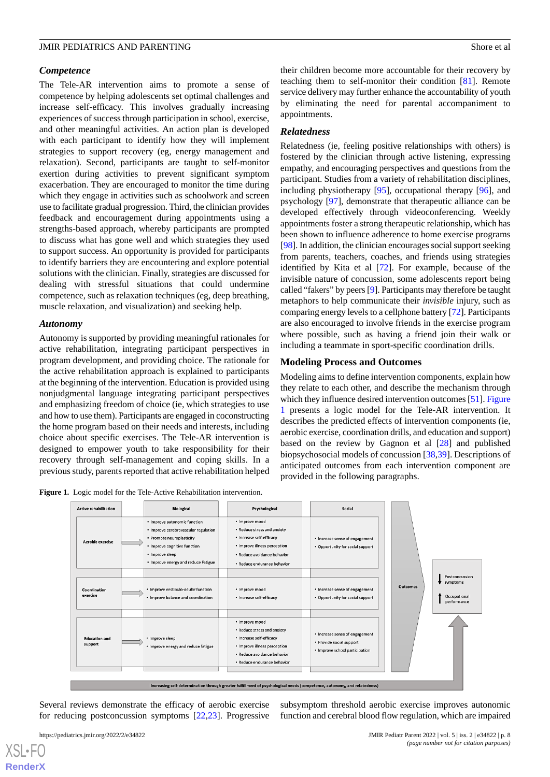### *Competence*

The Tele-AR intervention aims to promote a sense of competence by helping adolescents set optimal challenges and increase self-efficacy. This involves gradually increasing experiences of success through participation in school, exercise, and other meaningful activities. An action plan is developed with each participant to identify how they will implement strategies to support recovery (eg, energy management and relaxation). Second, participants are taught to self-monitor exertion during activities to prevent significant symptom exacerbation. They are encouraged to monitor the time during which they engage in activities such as schoolwork and screen use to facilitate gradual progression. Third, the clinician provides feedback and encouragement during appointments using a strengths-based approach, whereby participants are prompted to discuss what has gone well and which strategies they used to support success. An opportunity is provided for participants to identify barriers they are encountering and explore potential solutions with the clinician. Finally, strategies are discussed for dealing with stressful situations that could undermine competence, such as relaxation techniques (eg, deep breathing, muscle relaxation, and visualization) and seeking help.

#### *Autonomy*

Autonomy is supported by providing meaningful rationales for active rehabilitation, integrating participant perspectives in program development, and providing choice. The rationale for the active rehabilitation approach is explained to participants at the beginning of the intervention. Education is provided using nonjudgmental language integrating participant perspectives and emphasizing freedom of choice (ie, which strategies to use and how to use them). Participants are engaged in coconstructing the home program based on their needs and interests, including choice about specific exercises. The Tele-AR intervention is designed to empower youth to take responsibility for their recovery through self-management and coping skills. In a previous study, parents reported that active rehabilitation helped

<span id="page-7-0"></span>**Figure 1.** Logic model for the Tele-Active Rehabilitation intervention.

their children become more accountable for their recovery by teaching them to self-monitor their condition [\[81](#page-16-5)]. Remote service delivery may further enhance the accountability of youth by eliminating the need for parental accompaniment to appointments.

#### *Relatedness*

Relatedness (ie, feeling positive relationships with others) is fostered by the clinician through active listening, expressing empathy, and encouraging perspectives and questions from the participant. Studies from a variety of rehabilitation disciplines, including physiotherapy [\[95](#page-16-16)], occupational therapy [[96\]](#page-16-17), and psychology [\[97](#page-16-18)], demonstrate that therapeutic alliance can be developed effectively through videoconferencing. Weekly appointments foster a strong therapeutic relationship, which has been shown to influence adherence to home exercise programs [[98\]](#page-16-19). In addition, the clinician encourages social support seeking from parents, teachers, coaches, and friends using strategies identified by Kita et al [[72\]](#page-15-15). For example, because of the invisible nature of concussion, some adolescents report being called "fakers" by peers [[9\]](#page-12-7). Participants may therefore be taught metaphors to help communicate their *invisible* injury, such as comparing energy levels to a cellphone battery [\[72\]](#page-15-15). Participants are also encouraged to involve friends in the exercise program where possible, such as having a friend join their walk or including a teammate in sport-specific coordination drills.

#### **Modeling Process and Outcomes**

Modeling aims to define intervention components, explain how they relate to each other, and describe the mechanism through which they influence desired intervention outcomes [[51](#page-14-15)]. [Figure](#page-7-0) [1](#page-7-0) presents a logic model for the Tele-AR intervention. It describes the predicted effects of intervention components (ie, aerobic exercise, coordination drills, and education and support) based on the review by Gagnon et al [[28\]](#page-13-8) and published biopsychosocial models of concussion [\[38](#page-14-3),[39\]](#page-14-21). Descriptions of anticipated outcomes from each intervention component are provided in the following paragraphs.



Several reviews demonstrate the efficacy of aerobic exercise for reducing postconcussion symptoms [[22,](#page-13-20)[23](#page-13-21)]. Progressive

subsymptom threshold aerobic exercise improves autonomic function and cerebral blood flow regulation, which are impaired

 $XS$  • F( **[RenderX](http://www.renderx.com/)**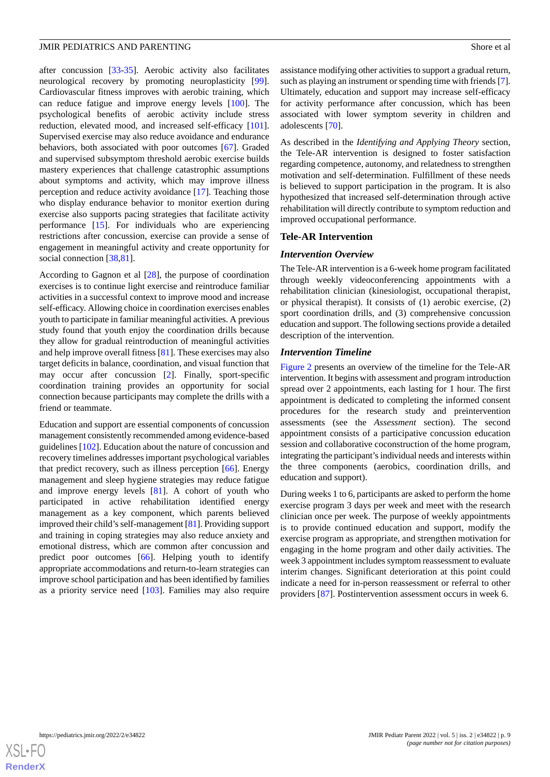after concussion [[33](#page-13-9)[-35](#page-14-0)]. Aerobic activity also facilitates neurological recovery by promoting neuroplasticity [[99\]](#page-16-20). Cardiovascular fitness improves with aerobic training, which can reduce fatigue and improve energy levels [[100\]](#page-17-0). The psychological benefits of aerobic activity include stress reduction, elevated mood, and increased self-efficacy [[101\]](#page-17-1). Supervised exercise may also reduce avoidance and endurance behaviors, both associated with poor outcomes [[67\]](#page-15-10). Graded and supervised subsymptom threshold aerobic exercise builds mastery experiences that challenge catastrophic assumptions about symptoms and activity, which may improve illness perception and reduce activity avoidance [[17\]](#page-13-19). Teaching those who display endurance behavior to monitor exertion during exercise also supports pacing strategies that facilitate activity performance [\[15](#page-13-2)]. For individuals who are experiencing restrictions after concussion, exercise can provide a sense of engagement in meaningful activity and create opportunity for social connection [\[38](#page-14-3),[81\]](#page-16-5).

According to Gagnon et al [\[28](#page-13-8)], the purpose of coordination exercises is to continue light exercise and reintroduce familiar activities in a successful context to improve mood and increase self-efficacy. Allowing choice in coordination exercises enables youth to participate in familiar meaningful activities. A previous study found that youth enjoy the coordination drills because they allow for gradual reintroduction of meaningful activities and help improve overall fitness [\[81](#page-16-5)]. These exercises may also target deficits in balance, coordination, and visual function that may occur after concussion [\[2](#page-12-11)]. Finally, sport-specific coordination training provides an opportunity for social connection because participants may complete the drills with a friend or teammate.

Education and support are essential components of concussion management consistently recommended among evidence-based guidelines [\[102](#page-17-2)]. Education about the nature of concussion and recovery timelines addresses important psychological variables that predict recovery, such as illness perception [[66\]](#page-15-9). Energy management and sleep hygiene strategies may reduce fatigue and improve energy levels [\[81](#page-16-5)]. A cohort of youth who participated in active rehabilitation identified energy management as a key component, which parents believed improved their child's self-management [[81\]](#page-16-5). Providing support and training in coping strategies may also reduce anxiety and emotional distress, which are common after concussion and predict poor outcomes [\[66](#page-15-9)]. Helping youth to identify appropriate accommodations and return-to-learn strategies can improve school participation and has been identified by families as a priority service need  $[103]$  $[103]$  $[103]$ . Families may also require

assistance modifying other activities to support a gradual return, such as playing an instrument or spending time with friends [\[7](#page-12-5)]. Ultimately, education and support may increase self-efficacy for activity performance after concussion, which has been associated with lower symptom severity in children and adolescents [[70\]](#page-15-13).

As described in the *Identifying and Applying Theory* section, the Tele-AR intervention is designed to foster satisfaction regarding competence, autonomy, and relatedness to strengthen motivation and self-determination. Fulfillment of these needs is believed to support participation in the program. It is also hypothesized that increased self-determination through active rehabilitation will directly contribute to symptom reduction and improved occupational performance.

#### **Tele-AR Intervention**

#### *Intervention Overview*

The Tele-AR intervention is a 6-week home program facilitated through weekly videoconferencing appointments with a rehabilitation clinician (kinesiologist, occupational therapist, or physical therapist). It consists of (1) aerobic exercise, (2) sport coordination drills, and (3) comprehensive concussion education and support. The following sections provide a detailed description of the intervention.

#### *Intervention Timeline*

[Figure 2](#page-9-0) presents an overview of the timeline for the Tele-AR intervention. It begins with assessment and program introduction spread over 2 appointments, each lasting for 1 hour. The first appointment is dedicated to completing the informed consent procedures for the research study and preintervention assessments (see the *Assessment* section). The second appointment consists of a participative concussion education session and collaborative coconstruction of the home program, integrating the participant's individual needs and interests within the three components (aerobics, coordination drills, and education and support).

During weeks 1 to 6, participants are asked to perform the home exercise program 3 days per week and meet with the research clinician once per week. The purpose of weekly appointments is to provide continued education and support, modify the exercise program as appropriate, and strengthen motivation for engaging in the home program and other daily activities. The week 3 appointment includes symptom reassessment to evaluate interim changes. Significant deterioration at this point could indicate a need for in-person reassessment or referral to other providers [\[87](#page-16-8)]. Postintervention assessment occurs in week 6.

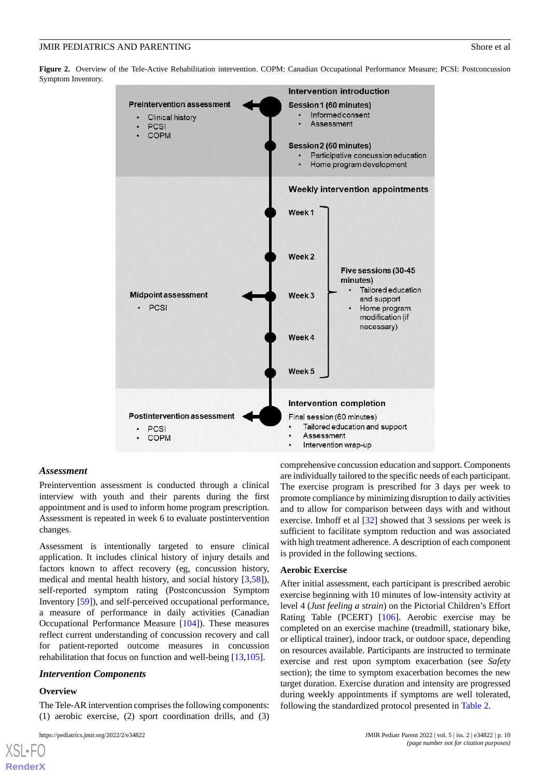<span id="page-9-0"></span>**Figure 2.** Overview of the Tele-Active Rehabilitation intervention. COPM: Canadian Occupational Performance Measure; PCSI: Postconcussion Symptom Inventory.



#### *Assessment*

Preintervention assessment is conducted through a clinical interview with youth and their parents during the first appointment and is used to inform home program prescription. Assessment is repeated in week 6 to evaluate postintervention changes.

Assessment is intentionally targeted to ensure clinical application. It includes clinical history of injury details and factors known to affect recovery (eg, concussion history, medical and mental health history, and social history [[3](#page-12-1)[,58](#page-15-1)]), self-reported symptom rating (Postconcussion Symptom Inventory [[59\]](#page-15-2)), and self-perceived occupational performance, a measure of performance in daily activities (Canadian Occupational Performance Measure [[104\]](#page-17-4)). These measures reflect current understanding of concussion recovery and call for patient-reported outcome measures in concussion rehabilitation that focus on function and well-being [[13](#page-13-0)[,105](#page-17-5)].

## *Intervention Components*

#### **Overview**

[XSL](http://www.w3.org/Style/XSL)•FO **[RenderX](http://www.renderx.com/)**

The Tele-AR intervention comprises the following components: (1) aerobic exercise, (2) sport coordination drills, and (3)

comprehensive concussion education and support. Components are individually tailored to the specific needs of each participant. The exercise program is prescribed for 3 days per week to promote compliance by minimizing disruption to daily activities and to allow for comparison between days with and without exercise. Imhoff et al [[32\]](#page-13-7) showed that 3 sessions per week is sufficient to facilitate symptom reduction and was associated with high treatment adherence. A description of each component is provided in the following sections.

#### **Aerobic Exercise**

After initial assessment, each participant is prescribed aerobic exercise beginning with 10 minutes of low-intensity activity at level 4 (*Just feeling a strain*) on the Pictorial Children's Effort Rating Table (PCERT) [\[106](#page-17-6)]. Aerobic exercise may be completed on an exercise machine (treadmill, stationary bike, or elliptical trainer), indoor track, or outdoor space, depending on resources available. Participants are instructed to terminate exercise and rest upon symptom exacerbation (see *Safety* section); the time to symptom exacerbation becomes the new target duration. Exercise duration and intensity are progressed during weekly appointments if symptoms are well tolerated, following the standardized protocol presented in [Table 2.](#page-10-0)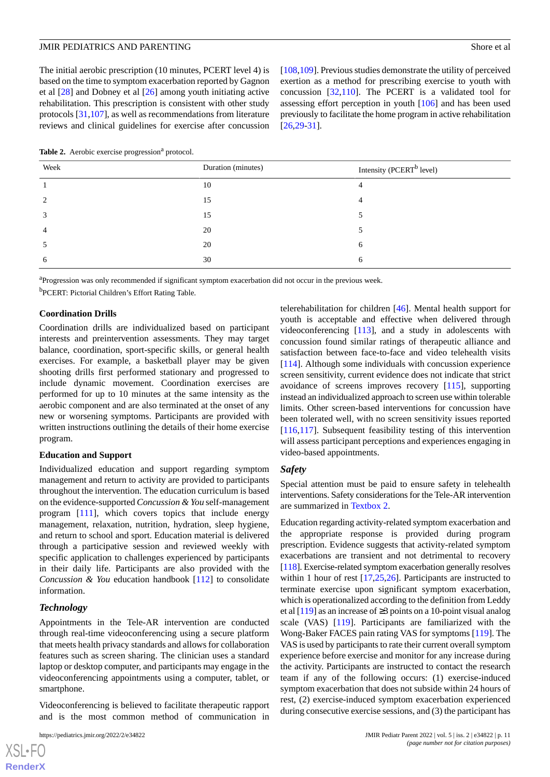The initial aerobic prescription (10 minutes, PCERT level 4) is based on the time to symptom exacerbation reported by Gagnon et al [[28\]](#page-13-8) and Dobney et al [\[26](#page-13-14)] among youth initiating active rehabilitation. This prescription is consistent with other study protocols [\[31](#page-13-6),[107\]](#page-17-7), as well as recommendations from literature reviews and clinical guidelines for exercise after concussion

[[108](#page-17-8)[,109\]](#page-17-9). Previous studies demonstrate the utility of perceived exertion as a method for prescribing exercise to youth with concussion [\[32](#page-13-7),[110\]](#page-17-10). The PCERT is a validated tool for assessing effort perception in youth [[106\]](#page-17-6) and has been used previously to facilitate the home program in active rehabilitation [[26,](#page-13-14)[29-](#page-13-17)[31\]](#page-13-6).

<span id="page-10-0"></span>Table 2. Aerobic exercise progression<sup>a</sup> protocol.

| Week                        | Duration (minutes) | Intensity (PCERT <sup>b</sup> level) |
|-----------------------------|--------------------|--------------------------------------|
|                             | 10                 |                                      |
| $\mathcal{D}_{\mathcal{L}}$ | 15                 |                                      |
| 3                           | 15                 |                                      |
| $\overline{4}$              | 20                 |                                      |
| $\mathcal{D}$               | 20                 | 6                                    |
| 6                           | 30                 | h                                    |

<sup>a</sup>Progression was only recommended if significant symptom exacerbation did not occur in the previous week. <sup>b</sup>PCERT: Pictorial Children's Effort Rating Table.

#### **Coordination Drills**

Coordination drills are individualized based on participant interests and preintervention assessments. They may target balance, coordination, sport-specific skills, or general health exercises. For example, a basketball player may be given shooting drills first performed stationary and progressed to include dynamic movement. Coordination exercises are performed for up to 10 minutes at the same intensity as the aerobic component and are also terminated at the onset of any new or worsening symptoms. Participants are provided with written instructions outlining the details of their home exercise program.

#### **Education and Support**

Individualized education and support regarding symptom management and return to activity are provided to participants throughout the intervention. The education curriculum is based on the evidence-supported *Concussion & You* self-management program [\[111](#page-17-11)], which covers topics that include energy management, relaxation, nutrition, hydration, sleep hygiene, and return to school and sport. Education material is delivered through a participative session and reviewed weekly with specific application to challenges experienced by participants in their daily life. Participants are also provided with the *Concussion & You* education handbook [\[112](#page-17-12)] to consolidate information.

#### *Technology*

Appointments in the Tele-AR intervention are conducted through real-time videoconferencing using a secure platform that meets health privacy standards and allows for collaboration features such as screen sharing. The clinician uses a standard laptop or desktop computer, and participants may engage in the videoconferencing appointments using a computer, tablet, or smartphone.

Videoconferencing is believed to facilitate therapeutic rapport and is the most common method of communication in

telerehabilitation for children [\[46](#page-14-10)]. Mental health support for youth is acceptable and effective when delivered through videoconferencing [[113\]](#page-17-13), and a study in adolescents with concussion found similar ratings of therapeutic alliance and satisfaction between face-to-face and video telehealth visits [[114\]](#page-17-14). Although some individuals with concussion experience screen sensitivity, current evidence does not indicate that strict avoidance of screens improves recovery [[115\]](#page-17-15), supporting instead an individualized approach to screen use within tolerable limits. Other screen-based interventions for concussion have been tolerated well, with no screen sensitivity issues reported [[116](#page-17-16)[,117\]](#page-17-17). Subsequent feasibility testing of this intervention will assess participant perceptions and experiences engaging in video-based appointments.

## *Safety*

Special attention must be paid to ensure safety in telehealth interventions. Safety considerations for the Tele-AR intervention are summarized in [Textbox 2.](#page-11-0)

Education regarding activity-related symptom exacerbation and the appropriate response is provided during program prescription. Evidence suggests that activity-related symptom exacerbations are transient and not detrimental to recovery [[118\]](#page-17-18). Exercise-related symptom exacerbation generally resolves within 1 hour of rest [[17,](#page-13-19)[25](#page-13-5)[,26](#page-13-14)]. Participants are instructed to terminate exercise upon significant symptom exacerbation, which is operationalized according to the definition from Leddy et al  $[119]$  $[119]$  as an increase of  $\geq$ 3 points on a 10-point visual analog scale (VAS) [\[119](#page-17-19)]. Participants are familiarized with the Wong-Baker FACES pain rating VAS for symptoms [\[119](#page-17-19)]. The VAS is used by participants to rate their current overall symptom experience before exercise and monitor for any increase during the activity. Participants are instructed to contact the research team if any of the following occurs: (1) exercise-induced symptom exacerbation that does not subside within 24 hours of rest, (2) exercise-induced symptom exacerbation experienced during consecutive exercise sessions, and (3) the participant has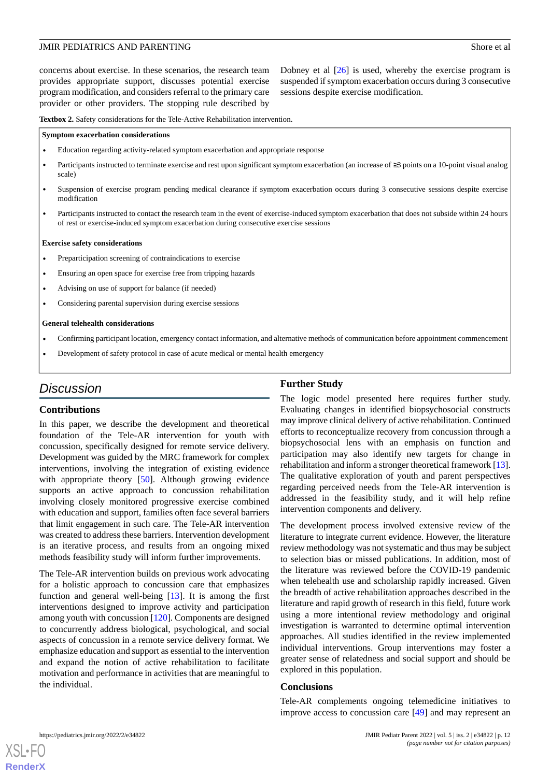concerns about exercise. In these scenarios, the research team provides appropriate support, discusses potential exercise program modification, and considers referral to the primary care provider or other providers. The stopping rule described by

Dobney et al [[26\]](#page-13-14) is used, whereby the exercise program is suspended if symptom exacerbation occurs during 3 consecutive sessions despite exercise modification.

<span id="page-11-0"></span>**Textbox 2.** Safety considerations for the Tele-Active Rehabilitation intervention.

#### **Symptom exacerbation considerations**

- Education regarding activity-related symptom exacerbation and appropriate response
- Participants instructed to terminate exercise and rest upon significant symptom exacerbation (an increase of ≥3 points on a 10-point visual analog scale)
- Suspension of exercise program pending medical clearance if symptom exacerbation occurs during 3 consecutive sessions despite exercise modification
- Participants instructed to contact the research team in the event of exercise-induced symptom exacerbation that does not subside within 24 hours of rest or exercise-induced symptom exacerbation during consecutive exercise sessions

#### **Exercise safety considerations**

- Preparticipation screening of contraindications to exercise
- Ensuring an open space for exercise free from tripping hazards
- Advising on use of support for balance (if needed)
- Considering parental supervision during exercise sessions

#### **General telehealth considerations**

- Confirming participant location, emergency contact information, and alternative methods of communication before appointment commencement
- Development of safety protocol in case of acute medical or mental health emergency

## *Discussion*

#### **Contributions**

In this paper, we describe the development and theoretical foundation of the Tele-AR intervention for youth with concussion, specifically designed for remote service delivery. Development was guided by the MRC framework for complex interventions, involving the integration of existing evidence with appropriate theory [\[50](#page-14-14)]. Although growing evidence supports an active approach to concussion rehabilitation involving closely monitored progressive exercise combined with education and support, families often face several barriers that limit engagement in such care. The Tele-AR intervention was created to address these barriers. Intervention development is an iterative process, and results from an ongoing mixed methods feasibility study will inform further improvements.

The Tele-AR intervention builds on previous work advocating for a holistic approach to concussion care that emphasizes function and general well-being [\[13](#page-13-0)]. It is among the first interventions designed to improve activity and participation among youth with concussion [\[120](#page-17-20)]. Components are designed to concurrently address biological, psychological, and social aspects of concussion in a remote service delivery format. We emphasize education and support as essential to the intervention and expand the notion of active rehabilitation to facilitate motivation and performance in activities that are meaningful to the individual.

## **Further Study**

The logic model presented here requires further study. Evaluating changes in identified biopsychosocial constructs may improve clinical delivery of active rehabilitation. Continued efforts to reconceptualize recovery from concussion through a biopsychosocial lens with an emphasis on function and participation may also identify new targets for change in rehabilitation and inform a stronger theoretical framework [\[13](#page-13-0)]. The qualitative exploration of youth and parent perspectives regarding perceived needs from the Tele-AR intervention is addressed in the feasibility study, and it will help refine intervention components and delivery.

The development process involved extensive review of the literature to integrate current evidence. However, the literature review methodology was not systematic and thus may be subject to selection bias or missed publications. In addition, most of the literature was reviewed before the COVID-19 pandemic when telehealth use and scholarship rapidly increased. Given the breadth of active rehabilitation approaches described in the literature and rapid growth of research in this field, future work using a more intentional review methodology and original investigation is warranted to determine optimal intervention approaches. All studies identified in the review implemented individual interventions. Group interventions may foster a greater sense of relatedness and social support and should be explored in this population.

## **Conclusions**

Tele-AR complements ongoing telemedicine initiatives to improve access to concussion care [[49\]](#page-14-13) and may represent an

```
XSL•FO
RenderX
```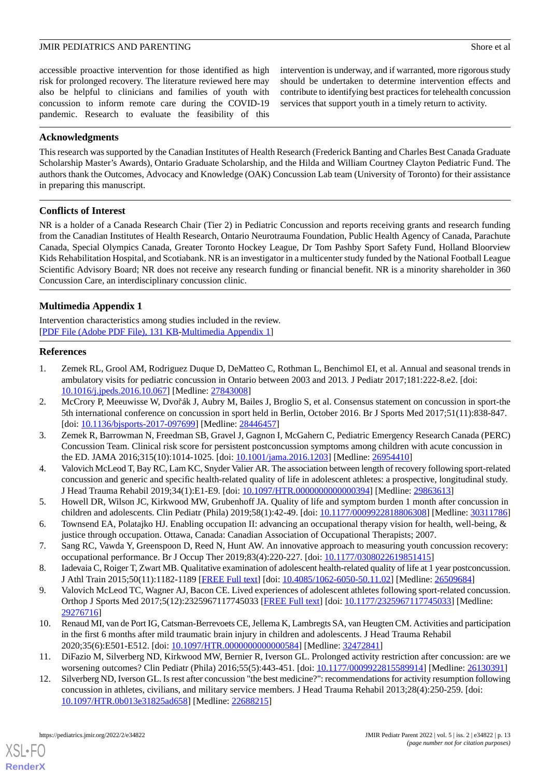accessible proactive intervention for those identified as high risk for prolonged recovery. The literature reviewed here may also be helpful to clinicians and families of youth with concussion to inform remote care during the COVID-19 pandemic. Research to evaluate the feasibility of this intervention is underway, and if warranted, more rigorous study should be undertaken to determine intervention effects and contribute to identifying best practices for telehealth concussion services that support youth in a timely return to activity.

## **Acknowledgments**

This research was supported by the Canadian Institutes of Health Research (Frederick Banting and Charles Best Canada Graduate Scholarship Master's Awards), Ontario Graduate Scholarship, and the Hilda and William Courtney Clayton Pediatric Fund. The authors thank the Outcomes, Advocacy and Knowledge (OAK) Concussion Lab team (University of Toronto) for their assistance in preparing this manuscript.

## **Conflicts of Interest**

NR is a holder of a Canada Research Chair (Tier 2) in Pediatric Concussion and reports receiving grants and research funding from the Canadian Institutes of Health Research, Ontario Neurotrauma Foundation, Public Health Agency of Canada, Parachute Canada, Special Olympics Canada, Greater Toronto Hockey League, Dr Tom Pashby Sport Safety Fund, Holland Bloorview Kids Rehabilitation Hospital, and Scotiabank. NR is an investigator in a multicenter study funded by the National Football League Scientific Advisory Board; NR does not receive any research funding or financial benefit. NR is a minority shareholder in 360 Concussion Care, an interdisciplinary concussion clinic.

## <span id="page-12-12"></span>**Multimedia Appendix 1**

<span id="page-12-0"></span>Intervention characteristics among studies included in the review. [[PDF File \(Adobe PDF File\), 131 KB](https://jmir.org/api/download?alt_name=pediatrics_v5i2e34822_app1.pdf&filename=e0f4088dd8b0c796ae147a425f43fe30.pdf)-[Multimedia Appendix 1\]](https://jmir.org/api/download?alt_name=pediatrics_v5i2e34822_app1.pdf&filename=e0f4088dd8b0c796ae147a425f43fe30.pdf)

## **References**

- <span id="page-12-11"></span>1. Zemek RL, Grool AM, Rodriguez Duque D, DeMatteo C, Rothman L, Benchimol EI, et al. Annual and seasonal trends in ambulatory visits for pediatric concussion in Ontario between 2003 and 2013. J Pediatr 2017;181:222-8.e2. [doi: [10.1016/j.jpeds.2016.10.067\]](http://dx.doi.org/10.1016/j.jpeds.2016.10.067) [Medline: [27843008](http://www.ncbi.nlm.nih.gov/entrez/query.fcgi?cmd=Retrieve&db=PubMed&list_uids=27843008&dopt=Abstract)]
- <span id="page-12-1"></span>2. McCrory P, Meeuwisse W, Dvořák J, Aubry M, Bailes J, Broglio S, et al. Consensus statement on concussion in sport-the 5th international conference on concussion in sport held in Berlin, October 2016. Br J Sports Med 2017;51(11):838-847. [doi: [10.1136/bjsports-2017-097699\]](http://dx.doi.org/10.1136/bjsports-2017-097699) [Medline: [28446457](http://www.ncbi.nlm.nih.gov/entrez/query.fcgi?cmd=Retrieve&db=PubMed&list_uids=28446457&dopt=Abstract)]
- <span id="page-12-2"></span>3. Zemek R, Barrowman N, Freedman SB, Gravel J, Gagnon I, McGahern C, Pediatric Emergency Research Canada (PERC) Concussion Team. Clinical risk score for persistent postconcussion symptoms among children with acute concussion in the ED. JAMA 2016;315(10):1014-1025. [doi: [10.1001/jama.2016.1203](http://dx.doi.org/10.1001/jama.2016.1203)] [Medline: [26954410](http://www.ncbi.nlm.nih.gov/entrez/query.fcgi?cmd=Retrieve&db=PubMed&list_uids=26954410&dopt=Abstract)]
- <span id="page-12-4"></span><span id="page-12-3"></span>4. Valovich McLeod T, Bay RC, Lam KC, Snyder Valier AR. The association between length of recovery following sport-related concussion and generic and specific health-related quality of life in adolescent athletes: a prospective, longitudinal study. J Head Trauma Rehabil 2019;34(1):E1-E9. [doi: [10.1097/HTR.0000000000000394](http://dx.doi.org/10.1097/HTR.0000000000000394)] [Medline: [29863613](http://www.ncbi.nlm.nih.gov/entrez/query.fcgi?cmd=Retrieve&db=PubMed&list_uids=29863613&dopt=Abstract)]
- <span id="page-12-6"></span><span id="page-12-5"></span>5. Howell DR, Wilson JC, Kirkwood MW, Grubenhoff JA. Quality of life and symptom burden 1 month after concussion in children and adolescents. Clin Pediatr (Phila) 2019;58(1):42-49. [doi: [10.1177/0009922818806308\]](http://dx.doi.org/10.1177/0009922818806308) [Medline: [30311786](http://www.ncbi.nlm.nih.gov/entrez/query.fcgi?cmd=Retrieve&db=PubMed&list_uids=30311786&dopt=Abstract)]
- <span id="page-12-7"></span>6. Townsend EA, Polatajko HJ. Enabling occupation II: advancing an occupational therapy vision for health, well-being, & justice through occupation. Ottawa, Canada: Canadian Association of Occupational Therapists; 2007.
- 7. Sang RC, Vawda Y, Greenspoon D, Reed N, Hunt AW. An innovative approach to measuring youth concussion recovery: occupational performance. Br J Occup Ther 2019;83(4):220-227. [doi: [10.1177/0308022619851415\]](http://dx.doi.org/10.1177/0308022619851415)
- <span id="page-12-8"></span>8. Iadevaia C, Roiger T, Zwart MB. Qualitative examination of adolescent health-related quality of life at 1 year postconcussion. J Athl Train 2015;50(11):1182-1189 [\[FREE Full text\]](https://meridian.allenpress.com/jat/article-lookup/doi/10.4085/1062-6050-50.11.02) [doi: [10.4085/1062-6050-50.11.02\]](http://dx.doi.org/10.4085/1062-6050-50.11.02) [Medline: [26509684\]](http://www.ncbi.nlm.nih.gov/entrez/query.fcgi?cmd=Retrieve&db=PubMed&list_uids=26509684&dopt=Abstract)
- <span id="page-12-9"></span>9. Valovich McLeod TC, Wagner AJ, Bacon CE. Lived experiences of adolescent athletes following sport-related concussion. Orthop J Sports Med 2017;5(12):2325967117745033 [[FREE Full text](https://journals.sagepub.com/doi/10.1177/2325967117745033?url_ver=Z39.88-2003&rfr_id=ori:rid:crossref.org&rfr_dat=cr_pub%3dpubmed)] [doi: [10.1177/2325967117745033\]](http://dx.doi.org/10.1177/2325967117745033) [Medline: [29276716](http://www.ncbi.nlm.nih.gov/entrez/query.fcgi?cmd=Retrieve&db=PubMed&list_uids=29276716&dopt=Abstract)]
- <span id="page-12-10"></span>10. Renaud MI, van de Port IG, Catsman-Berrevoets CE, Jellema K, Lambregts SA, van Heugten CM. Activities and participation in the first 6 months after mild traumatic brain injury in children and adolescents. J Head Trauma Rehabil 2020;35(6):E501-E512. [doi: [10.1097/HTR.0000000000000584\]](http://dx.doi.org/10.1097/HTR.0000000000000584) [Medline: [32472841](http://www.ncbi.nlm.nih.gov/entrez/query.fcgi?cmd=Retrieve&db=PubMed&list_uids=32472841&dopt=Abstract)]
- 11. DiFazio M, Silverberg ND, Kirkwood MW, Bernier R, Iverson GL. Prolonged activity restriction after concussion: are we worsening outcomes? Clin Pediatr (Phila) 2016;55(5):443-451. [doi: [10.1177/0009922815589914](http://dx.doi.org/10.1177/0009922815589914)] [Medline: [26130391](http://www.ncbi.nlm.nih.gov/entrez/query.fcgi?cmd=Retrieve&db=PubMed&list_uids=26130391&dopt=Abstract)]
- 12. Silverberg ND, Iverson GL. Is rest after concussion "the best medicine?": recommendations for activity resumption following concussion in athletes, civilians, and military service members. J Head Trauma Rehabil 2013;28(4):250-259. [doi: [10.1097/HTR.0b013e31825ad658](http://dx.doi.org/10.1097/HTR.0b013e31825ad658)] [Medline: [22688215\]](http://www.ncbi.nlm.nih.gov/entrez/query.fcgi?cmd=Retrieve&db=PubMed&list_uids=22688215&dopt=Abstract)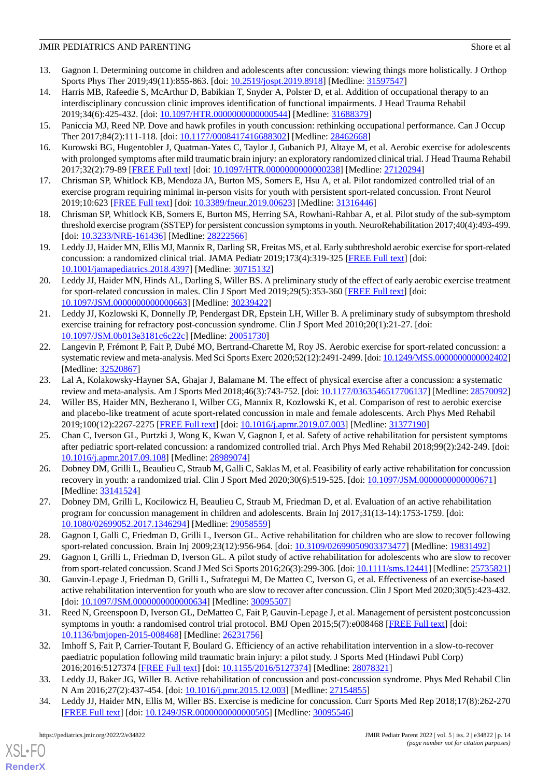- <span id="page-13-0"></span>13. Gagnon I. Determining outcome in children and adolescents after concussion: viewing things more holistically. J Orthop Sports Phys Ther 2019;49(11):855-863. [doi: [10.2519/jospt.2019.8918\]](http://dx.doi.org/10.2519/jospt.2019.8918) [Medline: [31597547](http://www.ncbi.nlm.nih.gov/entrez/query.fcgi?cmd=Retrieve&db=PubMed&list_uids=31597547&dopt=Abstract)]
- <span id="page-13-1"></span>14. Harris MB, Rafeedie S, McArthur D, Babikian T, Snyder A, Polster D, et al. Addition of occupational therapy to an interdisciplinary concussion clinic improves identification of functional impairments. J Head Trauma Rehabil 2019;34(6):425-432. [doi: [10.1097/HTR.0000000000000544](http://dx.doi.org/10.1097/HTR.0000000000000544)] [Medline: [31688379](http://www.ncbi.nlm.nih.gov/entrez/query.fcgi?cmd=Retrieve&db=PubMed&list_uids=31688379&dopt=Abstract)]
- <span id="page-13-3"></span><span id="page-13-2"></span>15. Paniccia MJ, Reed NP. Dove and hawk profiles in youth concussion: rethinking occupational performance. Can J Occup Ther 2017;84(2):111-118. [doi: [10.1177/0008417416688302](http://dx.doi.org/10.1177/0008417416688302)] [Medline: [28462668\]](http://www.ncbi.nlm.nih.gov/entrez/query.fcgi?cmd=Retrieve&db=PubMed&list_uids=28462668&dopt=Abstract)
- <span id="page-13-19"></span>16. Kurowski BG, Hugentobler J, Quatman-Yates C, Taylor J, Gubanich PJ, Altaye M, et al. Aerobic exercise for adolescents with prolonged symptoms after mild traumatic brain injury: an exploratory randomized clinical trial. J Head Trauma Rehabil 2017;32(2):79-89 [[FREE Full text](http://europepmc.org/abstract/MED/27120294)] [doi: [10.1097/HTR.0000000000000238](http://dx.doi.org/10.1097/HTR.0000000000000238)] [Medline: [27120294](http://www.ncbi.nlm.nih.gov/entrez/query.fcgi?cmd=Retrieve&db=PubMed&list_uids=27120294&dopt=Abstract)]
- <span id="page-13-18"></span>17. Chrisman SP, Whitlock KB, Mendoza JA, Burton MS, Somers E, Hsu A, et al. Pilot randomized controlled trial of an exercise program requiring minimal in-person visits for youth with persistent sport-related concussion. Front Neurol 2019;10:623 [[FREE Full text](https://doi.org/10.3389/fneur.2019.00623)] [doi: [10.3389/fneur.2019.00623](http://dx.doi.org/10.3389/fneur.2019.00623)] [Medline: [31316446](http://www.ncbi.nlm.nih.gov/entrez/query.fcgi?cmd=Retrieve&db=PubMed&list_uids=31316446&dopt=Abstract)]
- <span id="page-13-12"></span>18. Chrisman SP, Whitlock KB, Somers E, Burton MS, Herring SA, Rowhani-Rahbar A, et al. Pilot study of the sub-symptom threshold exercise program (SSTEP) for persistent concussion symptoms in youth. NeuroRehabilitation 2017;40(4):493-499. [doi: [10.3233/NRE-161436](http://dx.doi.org/10.3233/NRE-161436)] [Medline: [28222566](http://www.ncbi.nlm.nih.gov/entrez/query.fcgi?cmd=Retrieve&db=PubMed&list_uids=28222566&dopt=Abstract)]
- <span id="page-13-13"></span>19. Leddy JJ, Haider MN, Ellis MJ, Mannix R, Darling SR, Freitas MS, et al. Early subthreshold aerobic exercise for sport-related concussion: a randomized clinical trial. JAMA Pediatr 2019;173(4):319-325 [\[FREE Full text\]](http://europepmc.org/abstract/MED/30715132) [doi: [10.1001/jamapediatrics.2018.4397](http://dx.doi.org/10.1001/jamapediatrics.2018.4397)] [Medline: [30715132\]](http://www.ncbi.nlm.nih.gov/entrez/query.fcgi?cmd=Retrieve&db=PubMed&list_uids=30715132&dopt=Abstract)
- <span id="page-13-16"></span>20. Leddy JJ, Haider MN, Hinds AL, Darling S, Willer BS. A preliminary study of the effect of early aerobic exercise treatment for sport-related concussion in males. Clin J Sport Med 2019;29(5):353-360 [[FREE Full text](http://europepmc.org/abstract/MED/30239422)] [doi: [10.1097/JSM.0000000000000663\]](http://dx.doi.org/10.1097/JSM.0000000000000663) [Medline: [30239422](http://www.ncbi.nlm.nih.gov/entrez/query.fcgi?cmd=Retrieve&db=PubMed&list_uids=30239422&dopt=Abstract)]
- <span id="page-13-20"></span>21. Leddy JJ, Kozlowski K, Donnelly JP, Pendergast DR, Epstein LH, Willer B. A preliminary study of subsymptom threshold exercise training for refractory post-concussion syndrome. Clin J Sport Med 2010;20(1):21-27. [doi: [10.1097/JSM.0b013e3181c6c22c](http://dx.doi.org/10.1097/JSM.0b013e3181c6c22c)] [Medline: [20051730](http://www.ncbi.nlm.nih.gov/entrez/query.fcgi?cmd=Retrieve&db=PubMed&list_uids=20051730&dopt=Abstract)]
- <span id="page-13-21"></span><span id="page-13-4"></span>22. Langevin P, Frémont P, Fait P, Dubé MO, Bertrand-Charette M, Roy JS. Aerobic exercise for sport-related concussion: a systematic review and meta-analysis. Med Sci Sports Exerc 2020;52(12):2491-2499. [doi: [10.1249/MSS.0000000000002402\]](http://dx.doi.org/10.1249/MSS.0000000000002402) [Medline: [32520867](http://www.ncbi.nlm.nih.gov/entrez/query.fcgi?cmd=Retrieve&db=PubMed&list_uids=32520867&dopt=Abstract)]
- 23. Lal A, Kolakowsky-Hayner SA, Ghajar J, Balamane M. The effect of physical exercise after a concussion: a systematic review and meta-analysis. Am J Sports Med 2018;46(3):743-752. [doi: [10.1177/0363546517706137\]](http://dx.doi.org/10.1177/0363546517706137) [Medline: [28570092](http://www.ncbi.nlm.nih.gov/entrez/query.fcgi?cmd=Retrieve&db=PubMed&list_uids=28570092&dopt=Abstract)]
- <span id="page-13-5"></span>24. Willer BS, Haider MN, Bezherano I, Wilber CG, Mannix R, Kozlowski K, et al. Comparison of rest to aerobic exercise and placebo-like treatment of acute sport-related concussion in male and female adolescents. Arch Phys Med Rehabil 2019;100(12):2267-2275 [[FREE Full text](http://europepmc.org/abstract/MED/31377190)] [doi: [10.1016/j.apmr.2019.07.003\]](http://dx.doi.org/10.1016/j.apmr.2019.07.003) [Medline: [31377190](http://www.ncbi.nlm.nih.gov/entrez/query.fcgi?cmd=Retrieve&db=PubMed&list_uids=31377190&dopt=Abstract)]
- <span id="page-13-14"></span><span id="page-13-10"></span>25. Chan C, Iverson GL, Purtzki J, Wong K, Kwan V, Gagnon I, et al. Safety of active rehabilitation for persistent symptoms after pediatric sport-related concussion: a randomized controlled trial. Arch Phys Med Rehabil 2018;99(2):242-249. [doi: [10.1016/j.apmr.2017.09.108\]](http://dx.doi.org/10.1016/j.apmr.2017.09.108) [Medline: [28989074](http://www.ncbi.nlm.nih.gov/entrez/query.fcgi?cmd=Retrieve&db=PubMed&list_uids=28989074&dopt=Abstract)]
- <span id="page-13-8"></span>26. Dobney DM, Grilli L, Beaulieu C, Straub M, Galli C, Saklas M, et al. Feasibility of early active rehabilitation for concussion recovery in youth: a randomized trial. Clin J Sport Med 2020;30(6):519-525. [doi: [10.1097/JSM.0000000000000671\]](http://dx.doi.org/10.1097/JSM.0000000000000671) [Medline: [33141524](http://www.ncbi.nlm.nih.gov/entrez/query.fcgi?cmd=Retrieve&db=PubMed&list_uids=33141524&dopt=Abstract)]
- <span id="page-13-17"></span>27. Dobney DM, Grilli L, Kocilowicz H, Beaulieu C, Straub M, Friedman D, et al. Evaluation of an active rehabilitation program for concussion management in children and adolescents. Brain Inj 2017;31(13-14):1753-1759. [doi: [10.1080/02699052.2017.1346294\]](http://dx.doi.org/10.1080/02699052.2017.1346294) [Medline: [29058559\]](http://www.ncbi.nlm.nih.gov/entrez/query.fcgi?cmd=Retrieve&db=PubMed&list_uids=29058559&dopt=Abstract)
- <span id="page-13-11"></span>28. Gagnon I, Galli C, Friedman D, Grilli L, Iverson GL. Active rehabilitation for children who are slow to recover following sport-related concussion. Brain Inj 2009;23(12):956-964. [doi: [10.3109/02699050903373477\]](http://dx.doi.org/10.3109/02699050903373477) [Medline: [19831492](http://www.ncbi.nlm.nih.gov/entrez/query.fcgi?cmd=Retrieve&db=PubMed&list_uids=19831492&dopt=Abstract)]
- <span id="page-13-6"></span>29. Gagnon I, Grilli L, Friedman D, Iverson GL. A pilot study of active rehabilitation for adolescents who are slow to recover from sport-related concussion. Scand J Med Sci Sports 2016;26(3):299-306. [doi: [10.1111/sms.12441\]](http://dx.doi.org/10.1111/sms.12441) [Medline: [25735821\]](http://www.ncbi.nlm.nih.gov/entrez/query.fcgi?cmd=Retrieve&db=PubMed&list_uids=25735821&dopt=Abstract)
- <span id="page-13-7"></span>30. Gauvin-Lepage J, Friedman D, Grilli L, Sufrategui M, De Matteo C, Iverson G, et al. Effectiveness of an exercise-based active rehabilitation intervention for youth who are slow to recover after concussion. Clin J Sport Med 2020;30(5):423-432. [doi: [10.1097/JSM.0000000000000634](http://dx.doi.org/10.1097/JSM.0000000000000634)] [Medline: [30095507\]](http://www.ncbi.nlm.nih.gov/entrez/query.fcgi?cmd=Retrieve&db=PubMed&list_uids=30095507&dopt=Abstract)
- <span id="page-13-9"></span>31. Reed N, Greenspoon D, Iverson GL, DeMatteo C, Fait P, Gauvin-Lepage J, et al. Management of persistent postconcussion symptoms in youth: a randomised control trial protocol. BMJ Open 2015;5(7):e008468 [[FREE Full text](https://bmjopen.bmj.com/lookup/pmidlookup?view=long&pmid=26231756)] [doi: [10.1136/bmjopen-2015-008468\]](http://dx.doi.org/10.1136/bmjopen-2015-008468) [Medline: [26231756](http://www.ncbi.nlm.nih.gov/entrez/query.fcgi?cmd=Retrieve&db=PubMed&list_uids=26231756&dopt=Abstract)]
- <span id="page-13-15"></span>32. Imhoff S, Fait P, Carrier-Toutant F, Boulard G. Efficiency of an active rehabilitation intervention in a slow-to-recover paediatric population following mild traumatic brain injury: a pilot study. J Sports Med (Hindawi Publ Corp) 2016;2016:5127374 [[FREE Full text](https://doi.org/10.1155/2016/5127374)] [doi: [10.1155/2016/5127374\]](http://dx.doi.org/10.1155/2016/5127374) [Medline: [28078321](http://www.ncbi.nlm.nih.gov/entrez/query.fcgi?cmd=Retrieve&db=PubMed&list_uids=28078321&dopt=Abstract)]
- 33. Leddy JJ, Baker JG, Willer B. Active rehabilitation of concussion and post-concussion syndrome. Phys Med Rehabil Clin N Am 2016;27(2):437-454. [doi: [10.1016/j.pmr.2015.12.003](http://dx.doi.org/10.1016/j.pmr.2015.12.003)] [Medline: [27154855](http://www.ncbi.nlm.nih.gov/entrez/query.fcgi?cmd=Retrieve&db=PubMed&list_uids=27154855&dopt=Abstract)]
- 34. Leddy JJ, Haider MN, Ellis M, Willer BS. Exercise is medicine for concussion. Curr Sports Med Rep 2018;17(8):262-270 [[FREE Full text](http://europepmc.org/abstract/MED/30095546)] [doi: [10.1249/JSR.0000000000000505](http://dx.doi.org/10.1249/JSR.0000000000000505)] [Medline: [30095546](http://www.ncbi.nlm.nih.gov/entrez/query.fcgi?cmd=Retrieve&db=PubMed&list_uids=30095546&dopt=Abstract)]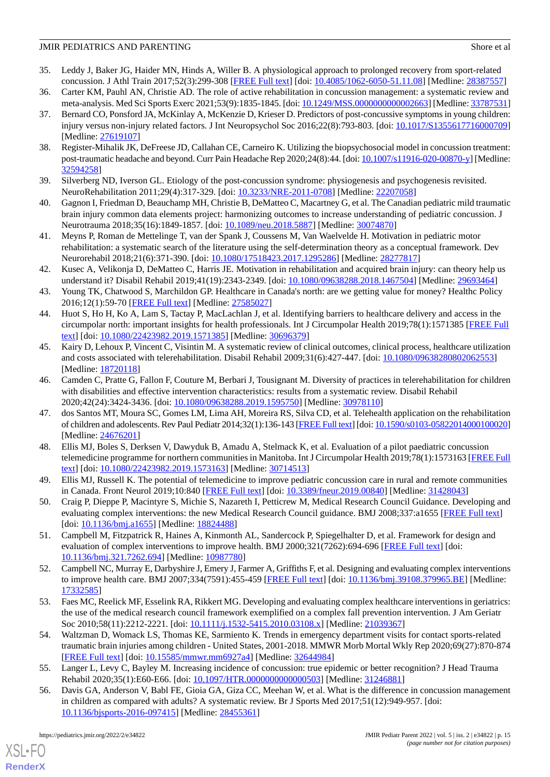- <span id="page-14-0"></span>35. Leddy J, Baker JG, Haider MN, Hinds A, Willer B. A physiological approach to prolonged recovery from sport-related concussion. J Athl Train 2017;52(3):299-308 [[FREE Full text](https://meridian.allenpress.com/jat/article-lookup/doi/10.4085/1062-6050-51.11.08)] [doi: [10.4085/1062-6050-51.11.08](http://dx.doi.org/10.4085/1062-6050-51.11.08)] [Medline: [28387557](http://www.ncbi.nlm.nih.gov/entrez/query.fcgi?cmd=Retrieve&db=PubMed&list_uids=28387557&dopt=Abstract)]
- <span id="page-14-2"></span><span id="page-14-1"></span>36. Carter KM, Pauhl AN, Christie AD. The role of active rehabilitation in concussion management: a systematic review and meta-analysis. Med Sci Sports Exerc 2021;53(9):1835-1845. [doi: [10.1249/MSS.0000000000002663\]](http://dx.doi.org/10.1249/MSS.0000000000002663) [Medline: [33787531\]](http://www.ncbi.nlm.nih.gov/entrez/query.fcgi?cmd=Retrieve&db=PubMed&list_uids=33787531&dopt=Abstract)
- 37. Bernard CO, Ponsford JA, McKinlay A, McKenzie D, Krieser D. Predictors of post-concussive symptoms in young children: injury versus non-injury related factors. J Int Neuropsychol Soc 2016;22(8):793-803. [doi: [10.1017/S1355617716000709](http://dx.doi.org/10.1017/S1355617716000709)] [Medline: [27619107](http://www.ncbi.nlm.nih.gov/entrez/query.fcgi?cmd=Retrieve&db=PubMed&list_uids=27619107&dopt=Abstract)]
- <span id="page-14-21"></span><span id="page-14-3"></span>38. Register-Mihalik JK, DeFreese JD, Callahan CE, Carneiro K. Utilizing the biopsychosocial model in concussion treatment: post-traumatic headache and beyond. Curr Pain Headache Rep 2020;24(8):44. [doi: [10.1007/s11916-020-00870-y\]](http://dx.doi.org/10.1007/s11916-020-00870-y) [Medline: [32594258](http://www.ncbi.nlm.nih.gov/entrez/query.fcgi?cmd=Retrieve&db=PubMed&list_uids=32594258&dopt=Abstract)]
- <span id="page-14-4"></span>39. Silverberg ND, Iverson GL. Etiology of the post-concussion syndrome: physiogenesis and psychogenesis revisited. NeuroRehabilitation 2011;29(4):317-329. [doi: [10.3233/NRE-2011-0708\]](http://dx.doi.org/10.3233/NRE-2011-0708) [Medline: [22207058](http://www.ncbi.nlm.nih.gov/entrez/query.fcgi?cmd=Retrieve&db=PubMed&list_uids=22207058&dopt=Abstract)]
- <span id="page-14-5"></span>40. Gagnon I, Friedman D, Beauchamp MH, Christie B, DeMatteo C, Macartney G, et al. The Canadian pediatric mild traumatic brain injury common data elements project: harmonizing outcomes to increase understanding of pediatric concussion. J Neurotrauma 2018;35(16):1849-1857. [doi: [10.1089/neu.2018.5887](http://dx.doi.org/10.1089/neu.2018.5887)] [Medline: [30074870](http://www.ncbi.nlm.nih.gov/entrez/query.fcgi?cmd=Retrieve&db=PubMed&list_uids=30074870&dopt=Abstract)]
- <span id="page-14-6"></span>41. Meyns P, Roman de Mettelinge T, van der Spank J, Coussens M, Van Waelvelde H. Motivation in pediatric motor rehabilitation: a systematic search of the literature using the self-determination theory as a conceptual framework. Dev Neurorehabil 2018;21(6):371-390. [doi: [10.1080/17518423.2017.1295286](http://dx.doi.org/10.1080/17518423.2017.1295286)] [Medline: [28277817\]](http://www.ncbi.nlm.nih.gov/entrez/query.fcgi?cmd=Retrieve&db=PubMed&list_uids=28277817&dopt=Abstract)
- <span id="page-14-7"></span>42. Kusec A, Velikonja D, DeMatteo C, Harris JE. Motivation in rehabilitation and acquired brain injury: can theory help us understand it? Disabil Rehabil 2019;41(19):2343-2349. [doi: [10.1080/09638288.2018.1467504\]](http://dx.doi.org/10.1080/09638288.2018.1467504) [Medline: [29693464](http://www.ncbi.nlm.nih.gov/entrez/query.fcgi?cmd=Retrieve&db=PubMed&list_uids=29693464&dopt=Abstract)]
- <span id="page-14-8"></span>43. Young TK, Chatwood S, Marchildon GP. Healthcare in Canada's north: are we getting value for money? Healthc Policy 2016;12(1):59-70 [[FREE Full text](http://europepmc.org/abstract/MED/27585027)] [Medline: [27585027](http://www.ncbi.nlm.nih.gov/entrez/query.fcgi?cmd=Retrieve&db=PubMed&list_uids=27585027&dopt=Abstract)]
- <span id="page-14-9"></span>44. Huot S, Ho H, Ko A, Lam S, Tactay P, MacLachlan J, et al. Identifying barriers to healthcare delivery and access in the circumpolar north: important insights for health professionals. Int J Circumpolar Health 2019;78(1):1571385 [[FREE Full](http://europepmc.org/abstract/MED/30696379) [text](http://europepmc.org/abstract/MED/30696379)] [doi: [10.1080/22423982.2019.1571385\]](http://dx.doi.org/10.1080/22423982.2019.1571385) [Medline: [30696379\]](http://www.ncbi.nlm.nih.gov/entrez/query.fcgi?cmd=Retrieve&db=PubMed&list_uids=30696379&dopt=Abstract)
- <span id="page-14-10"></span>45. Kairy D, Lehoux P, Vincent C, Visintin M. A systematic review of clinical outcomes, clinical process, healthcare utilization and costs associated with telerehabilitation. Disabil Rehabil 2009;31(6):427-447. [doi: [10.1080/09638280802062553\]](http://dx.doi.org/10.1080/09638280802062553) [Medline: [18720118](http://www.ncbi.nlm.nih.gov/entrez/query.fcgi?cmd=Retrieve&db=PubMed&list_uids=18720118&dopt=Abstract)]
- <span id="page-14-11"></span>46. Camden C, Pratte G, Fallon F, Couture M, Berbari J, Tousignant M. Diversity of practices in telerehabilitation for children with disabilities and effective intervention characteristics: results from a systematic review. Disabil Rehabil 2020;42(24):3424-3436. [doi: [10.1080/09638288.2019.1595750\]](http://dx.doi.org/10.1080/09638288.2019.1595750) [Medline: [30978110\]](http://www.ncbi.nlm.nih.gov/entrez/query.fcgi?cmd=Retrieve&db=PubMed&list_uids=30978110&dopt=Abstract)
- <span id="page-14-12"></span>47. dos Santos MT, Moura SC, Gomes LM, Lima AH, Moreira RS, Silva CD, et al. Telehealth application on the rehabilitation of children and adolescents. Rev Paul Pediatr 2014;32(1):136-143 [\[FREE Full text\]](https://www.scielo.br/scielo.php?script=sci_arttext&pid=S0103-05822014000100136&lng=en&nrm=iso&tlng=en) [doi: [10.1590/s0103-05822014000100020](http://dx.doi.org/10.1590/s0103-05822014000100020)] [Medline: [24676201](http://www.ncbi.nlm.nih.gov/entrez/query.fcgi?cmd=Retrieve&db=PubMed&list_uids=24676201&dopt=Abstract)]
- <span id="page-14-14"></span><span id="page-14-13"></span>48. Ellis MJ, Boles S, Derksen V, Dawyduk B, Amadu A, Stelmack K, et al. Evaluation of a pilot paediatric concussion telemedicine programme for northern communities in Manitoba. Int J Circumpolar Health 2019;78(1):1573163 [\[FREE Full](http://europepmc.org/abstract/MED/30714513) [text](http://europepmc.org/abstract/MED/30714513)] [doi: [10.1080/22423982.2019.1573163\]](http://dx.doi.org/10.1080/22423982.2019.1573163) [Medline: [30714513\]](http://www.ncbi.nlm.nih.gov/entrez/query.fcgi?cmd=Retrieve&db=PubMed&list_uids=30714513&dopt=Abstract)
- <span id="page-14-15"></span>49. Ellis MJ, Russell K. The potential of telemedicine to improve pediatric concussion care in rural and remote communities in Canada. Front Neurol 2019;10:840 [[FREE Full text](https://doi.org/10.3389/fneur.2019.00840)] [doi: [10.3389/fneur.2019.00840](http://dx.doi.org/10.3389/fneur.2019.00840)] [Medline: [31428043\]](http://www.ncbi.nlm.nih.gov/entrez/query.fcgi?cmd=Retrieve&db=PubMed&list_uids=31428043&dopt=Abstract)
- <span id="page-14-16"></span>50. Craig P, Dieppe P, Macintyre S, Michie S, Nazareth I, Petticrew M, Medical Research Council Guidance. Developing and evaluating complex interventions: the new Medical Research Council guidance. BMJ 2008;337:a1655 [\[FREE Full text\]](http://europepmc.org/abstract/MED/18824488) [doi: [10.1136/bmj.a1655\]](http://dx.doi.org/10.1136/bmj.a1655) [Medline: [18824488\]](http://www.ncbi.nlm.nih.gov/entrez/query.fcgi?cmd=Retrieve&db=PubMed&list_uids=18824488&dopt=Abstract)
- <span id="page-14-17"></span>51. Campbell M, Fitzpatrick R, Haines A, Kinmonth AL, Sandercock P, Spiegelhalter D, et al. Framework for design and evaluation of complex interventions to improve health. BMJ 2000;321(7262):694-696 [[FREE Full text](http://europepmc.org/abstract/MED/10987780)] [doi: [10.1136/bmj.321.7262.694\]](http://dx.doi.org/10.1136/bmj.321.7262.694) [Medline: [10987780\]](http://www.ncbi.nlm.nih.gov/entrez/query.fcgi?cmd=Retrieve&db=PubMed&list_uids=10987780&dopt=Abstract)
- <span id="page-14-18"></span>52. Campbell NC, Murray E, Darbyshire J, Emery J, Farmer A, Griffiths F, et al. Designing and evaluating complex interventions to improve health care. BMJ 2007;334(7591):455-459 [\[FREE Full text\]](http://europepmc.org/abstract/MED/17332585) [doi: [10.1136/bmj.39108.379965.BE](http://dx.doi.org/10.1136/bmj.39108.379965.BE)] [Medline: [17332585](http://www.ncbi.nlm.nih.gov/entrez/query.fcgi?cmd=Retrieve&db=PubMed&list_uids=17332585&dopt=Abstract)]
- <span id="page-14-19"></span>53. Faes MC, Reelick MF, Esselink RA, Rikkert MG. Developing and evaluating complex healthcare interventions in geriatrics: the use of the medical research council framework exemplified on a complex fall prevention intervention. J Am Geriatr Soc 2010;58(11):2212-2221. [doi: [10.1111/j.1532-5415.2010.03108.x](http://dx.doi.org/10.1111/j.1532-5415.2010.03108.x)] [Medline: [21039367](http://www.ncbi.nlm.nih.gov/entrez/query.fcgi?cmd=Retrieve&db=PubMed&list_uids=21039367&dopt=Abstract)]
- <span id="page-14-20"></span>54. Waltzman D, Womack LS, Thomas KE, Sarmiento K. Trends in emergency department visits for contact sports-related traumatic brain injuries among children - United States, 2001-2018. MMWR Morb Mortal Wkly Rep 2020;69(27):870-874 [[FREE Full text](https://doi.org/10.15585/mmwr.mm6927a4)] [doi: [10.15585/mmwr.mm6927a4\]](http://dx.doi.org/10.15585/mmwr.mm6927a4) [Medline: [32644984\]](http://www.ncbi.nlm.nih.gov/entrez/query.fcgi?cmd=Retrieve&db=PubMed&list_uids=32644984&dopt=Abstract)
- 55. Langer L, Levy C, Bayley M. Increasing incidence of concussion: true epidemic or better recognition? J Head Trauma Rehabil 2020;35(1):E60-E66. [doi: [10.1097/HTR.0000000000000503](http://dx.doi.org/10.1097/HTR.0000000000000503)] [Medline: [31246881\]](http://www.ncbi.nlm.nih.gov/entrez/query.fcgi?cmd=Retrieve&db=PubMed&list_uids=31246881&dopt=Abstract)
- 56. Davis GA, Anderson V, Babl FE, Gioia GA, Giza CC, Meehan W, et al. What is the difference in concussion management in children as compared with adults? A systematic review. Br J Sports Med 2017;51(12):949-957. [doi: [10.1136/bjsports-2016-097415](http://dx.doi.org/10.1136/bjsports-2016-097415)] [Medline: [28455361\]](http://www.ncbi.nlm.nih.gov/entrez/query.fcgi?cmd=Retrieve&db=PubMed&list_uids=28455361&dopt=Abstract)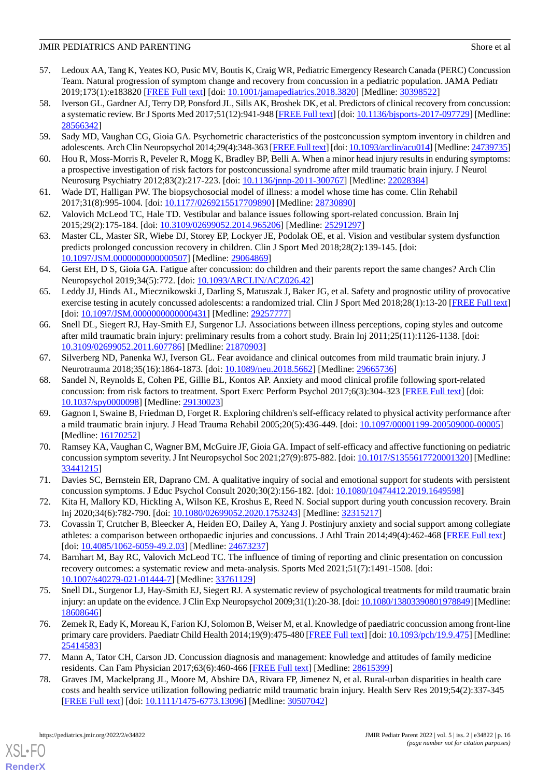- <span id="page-15-0"></span>57. Ledoux AA, Tang K, Yeates KO, Pusic MV, Boutis K, Craig WR, Pediatric Emergency Research Canada (PERC) Concussion Team. Natural progression of symptom change and recovery from concussion in a pediatric population. JAMA Pediatr 2019;173(1):e183820 [\[FREE Full text](http://europepmc.org/abstract/MED/30398522)] [doi: [10.1001/jamapediatrics.2018.3820](http://dx.doi.org/10.1001/jamapediatrics.2018.3820)] [Medline: [30398522](http://www.ncbi.nlm.nih.gov/entrez/query.fcgi?cmd=Retrieve&db=PubMed&list_uids=30398522&dopt=Abstract)]
- <span id="page-15-1"></span>58. Iverson GL, Gardner AJ, Terry DP, Ponsford JL, Sills AK, Broshek DK, et al. Predictors of clinical recovery from concussion: a systematic review. Br J Sports Med 2017;51(12):941-948 [[FREE Full text](http://bjsm.bmj.com/lookup/pmidlookup?view=long&pmid=28566342)] [doi: [10.1136/bjsports-2017-097729](http://dx.doi.org/10.1136/bjsports-2017-097729)] [Medline: [28566342](http://www.ncbi.nlm.nih.gov/entrez/query.fcgi?cmd=Retrieve&db=PubMed&list_uids=28566342&dopt=Abstract)]
- <span id="page-15-3"></span><span id="page-15-2"></span>59. Sady MD, Vaughan CG, Gioia GA. Psychometric characteristics of the postconcussion symptom inventory in children and adolescents. Arch Clin Neuropsychol 2014;29(4):348-363 [\[FREE Full text\]](http://europepmc.org/abstract/MED/24739735) [doi: [10.1093/arclin/acu014](http://dx.doi.org/10.1093/arclin/acu014)] [Medline: [24739735\]](http://www.ncbi.nlm.nih.gov/entrez/query.fcgi?cmd=Retrieve&db=PubMed&list_uids=24739735&dopt=Abstract)
- <span id="page-15-4"></span>60. Hou R, Moss-Morris R, Peveler R, Mogg K, Bradley BP, Belli A. When a minor head injury results in enduring symptoms: a prospective investigation of risk factors for postconcussional syndrome after mild traumatic brain injury. J Neurol Neurosurg Psychiatry 2012;83(2):217-223. [doi: [10.1136/jnnp-2011-300767](http://dx.doi.org/10.1136/jnnp-2011-300767)] [Medline: [22028384](http://www.ncbi.nlm.nih.gov/entrez/query.fcgi?cmd=Retrieve&db=PubMed&list_uids=22028384&dopt=Abstract)]
- <span id="page-15-5"></span>61. Wade DT, Halligan PW. The biopsychosocial model of illness: a model whose time has come. Clin Rehabil 2017;31(8):995-1004. [doi: [10.1177/0269215517709890\]](http://dx.doi.org/10.1177/0269215517709890) [Medline: [28730890\]](http://www.ncbi.nlm.nih.gov/entrez/query.fcgi?cmd=Retrieve&db=PubMed&list_uids=28730890&dopt=Abstract)
- <span id="page-15-6"></span>62. Valovich McLeod TC, Hale TD. Vestibular and balance issues following sport-related concussion. Brain Inj 2015;29(2):175-184. [doi: [10.3109/02699052.2014.965206\]](http://dx.doi.org/10.3109/02699052.2014.965206) [Medline: [25291297\]](http://www.ncbi.nlm.nih.gov/entrez/query.fcgi?cmd=Retrieve&db=PubMed&list_uids=25291297&dopt=Abstract)
- <span id="page-15-7"></span>63. Master CL, Master SR, Wiebe DJ, Storey EP, Lockyer JE, Podolak OE, et al. Vision and vestibular system dysfunction predicts prolonged concussion recovery in children. Clin J Sport Med 2018;28(2):139-145. [doi: [10.1097/JSM.0000000000000507\]](http://dx.doi.org/10.1097/JSM.0000000000000507) [Medline: [29064869](http://www.ncbi.nlm.nih.gov/entrez/query.fcgi?cmd=Retrieve&db=PubMed&list_uids=29064869&dopt=Abstract)]
- <span id="page-15-8"></span>64. Gerst EH, D S, Gioia GA. Fatigue after concussion: do children and their parents report the same changes? Arch Clin Neuropsychol 2019;34(5):772. [doi: [10.1093/ARCLIN/ACZ026.42](http://dx.doi.org/10.1093/ARCLIN/ACZ026.42)]
- <span id="page-15-9"></span>65. Leddy JJ, Hinds AL, Miecznikowski J, Darling S, Matuszak J, Baker JG, et al. Safety and prognostic utility of provocative exercise testing in acutely concussed adolescents: a randomized trial. Clin J Sport Med 2018;28(1):13-20 [[FREE Full text](http://europepmc.org/abstract/MED/29257777)] [doi: [10.1097/JSM.0000000000000431](http://dx.doi.org/10.1097/JSM.0000000000000431)] [Medline: [29257777\]](http://www.ncbi.nlm.nih.gov/entrez/query.fcgi?cmd=Retrieve&db=PubMed&list_uids=29257777&dopt=Abstract)
- <span id="page-15-10"></span>66. Snell DL, Siegert RJ, Hay-Smith EJ, Surgenor LJ. Associations between illness perceptions, coping styles and outcome after mild traumatic brain injury: preliminary results from a cohort study. Brain Inj 2011;25(11):1126-1138. [doi: [10.3109/02699052.2011.607786\]](http://dx.doi.org/10.3109/02699052.2011.607786) [Medline: [21870903\]](http://www.ncbi.nlm.nih.gov/entrez/query.fcgi?cmd=Retrieve&db=PubMed&list_uids=21870903&dopt=Abstract)
- <span id="page-15-11"></span>67. Silverberg ND, Panenka WJ, Iverson GL. Fear avoidance and clinical outcomes from mild traumatic brain injury. J Neurotrauma 2018;35(16):1864-1873. [doi: [10.1089/neu.2018.5662](http://dx.doi.org/10.1089/neu.2018.5662)] [Medline: [29665736](http://www.ncbi.nlm.nih.gov/entrez/query.fcgi?cmd=Retrieve&db=PubMed&list_uids=29665736&dopt=Abstract)]
- <span id="page-15-12"></span>68. Sandel N, Reynolds E, Cohen PE, Gillie BL, Kontos AP. Anxiety and mood clinical profile following sport-related concussion: from risk factors to treatment. Sport Exerc Perform Psychol 2017;6(3):304-323 [[FREE Full text](http://europepmc.org/abstract/MED/29130023)] [doi: [10.1037/spy0000098\]](http://dx.doi.org/10.1037/spy0000098) [Medline: [29130023](http://www.ncbi.nlm.nih.gov/entrez/query.fcgi?cmd=Retrieve&db=PubMed&list_uids=29130023&dopt=Abstract)]
- <span id="page-15-13"></span>69. Gagnon I, Swaine B, Friedman D, Forget R. Exploring children's self-efficacy related to physical activity performance after a mild traumatic brain injury. J Head Trauma Rehabil 2005;20(5):436-449. [doi: [10.1097/00001199-200509000-00005\]](http://dx.doi.org/10.1097/00001199-200509000-00005) [Medline: [16170252](http://www.ncbi.nlm.nih.gov/entrez/query.fcgi?cmd=Retrieve&db=PubMed&list_uids=16170252&dopt=Abstract)]
- <span id="page-15-15"></span><span id="page-15-14"></span>70. Ramsey KA, Vaughan C, Wagner BM, McGuire JF, Gioia GA. Impact of self-efficacy and affective functioning on pediatric concussion symptom severity. J Int Neuropsychol Soc 2021;27(9):875-882. [doi: [10.1017/S1355617720001320](http://dx.doi.org/10.1017/S1355617720001320)] [Medline: [33441215](http://www.ncbi.nlm.nih.gov/entrez/query.fcgi?cmd=Retrieve&db=PubMed&list_uids=33441215&dopt=Abstract)]
- <span id="page-15-16"></span>71. Davies SC, Bernstein ER, Daprano CM. A qualitative inquiry of social and emotional support for students with persistent concussion symptoms. J Educ Psychol Consult 2020;30(2):156-182. [doi: [10.1080/10474412.2019.1649598](http://dx.doi.org/10.1080/10474412.2019.1649598)]
- <span id="page-15-17"></span>72. Kita H, Mallory KD, Hickling A, Wilson KE, Kroshus E, Reed N. Social support during youth concussion recovery. Brain Inj 2020;34(6):782-790. [doi: [10.1080/02699052.2020.1753243](http://dx.doi.org/10.1080/02699052.2020.1753243)] [Medline: [32315217](http://www.ncbi.nlm.nih.gov/entrez/query.fcgi?cmd=Retrieve&db=PubMed&list_uids=32315217&dopt=Abstract)]
- <span id="page-15-18"></span>73. Covassin T, Crutcher B, Bleecker A, Heiden EO, Dailey A, Yang J. Postinjury anxiety and social support among collegiate athletes: a comparison between orthopaedic injuries and concussions. J Athl Train 2014;49(4):462-468 [[FREE Full text](https://meridian.allenpress.com/jat/article-lookup/doi/10.4085/1062-6059-49.2.03)] [doi: [10.4085/1062-6059-49.2.03\]](http://dx.doi.org/10.4085/1062-6059-49.2.03) [Medline: [24673237\]](http://www.ncbi.nlm.nih.gov/entrez/query.fcgi?cmd=Retrieve&db=PubMed&list_uids=24673237&dopt=Abstract)
- <span id="page-15-19"></span>74. Barnhart M, Bay RC, Valovich McLeod TC. The influence of timing of reporting and clinic presentation on concussion recovery outcomes: a systematic review and meta-analysis. Sports Med 2021;51(7):1491-1508. [doi: [10.1007/s40279-021-01444-7\]](http://dx.doi.org/10.1007/s40279-021-01444-7) [Medline: [33761129\]](http://www.ncbi.nlm.nih.gov/entrez/query.fcgi?cmd=Retrieve&db=PubMed&list_uids=33761129&dopt=Abstract)
- <span id="page-15-20"></span>75. Snell DL, Surgenor LJ, Hay-Smith EJ, Siegert RJ. A systematic review of psychological treatments for mild traumatic brain injury: an update on the evidence. J Clin Exp Neuropsychol 2009;31(1):20-38. [doi: [10.1080/13803390801978849\]](http://dx.doi.org/10.1080/13803390801978849) [Medline: [18608646](http://www.ncbi.nlm.nih.gov/entrez/query.fcgi?cmd=Retrieve&db=PubMed&list_uids=18608646&dopt=Abstract)]
- <span id="page-15-21"></span>76. Zemek R, Eady K, Moreau K, Farion KJ, Solomon B, Weiser M, et al. Knowledge of paediatric concussion among front-line primary care providers. Paediatr Child Health 2014;19(9):475-480 [[FREE Full text](http://europepmc.org/abstract/MED/25414583)] [doi: [10.1093/pch/19.9.475\]](http://dx.doi.org/10.1093/pch/19.9.475) [Medline: [25414583](http://www.ncbi.nlm.nih.gov/entrez/query.fcgi?cmd=Retrieve&db=PubMed&list_uids=25414583&dopt=Abstract)]
- 77. Mann A, Tator CH, Carson JD. Concussion diagnosis and management: knowledge and attitudes of family medicine residents. Can Fam Physician 2017;63(6):460-466 [[FREE Full text\]](http://www.cfp.ca/cgi/pmidlookup?view=long&pmid=28615399) [Medline: [28615399\]](http://www.ncbi.nlm.nih.gov/entrez/query.fcgi?cmd=Retrieve&db=PubMed&list_uids=28615399&dopt=Abstract)
- 78. Graves JM, Mackelprang JL, Moore M, Abshire DA, Rivara FP, Jimenez N, et al. Rural-urban disparities in health care costs and health service utilization following pediatric mild traumatic brain injury. Health Serv Res 2019;54(2):337-345 [[FREE Full text](http://europepmc.org/abstract/MED/30507042)] [doi: [10.1111/1475-6773.13096\]](http://dx.doi.org/10.1111/1475-6773.13096) [Medline: [30507042](http://www.ncbi.nlm.nih.gov/entrez/query.fcgi?cmd=Retrieve&db=PubMed&list_uids=30507042&dopt=Abstract)]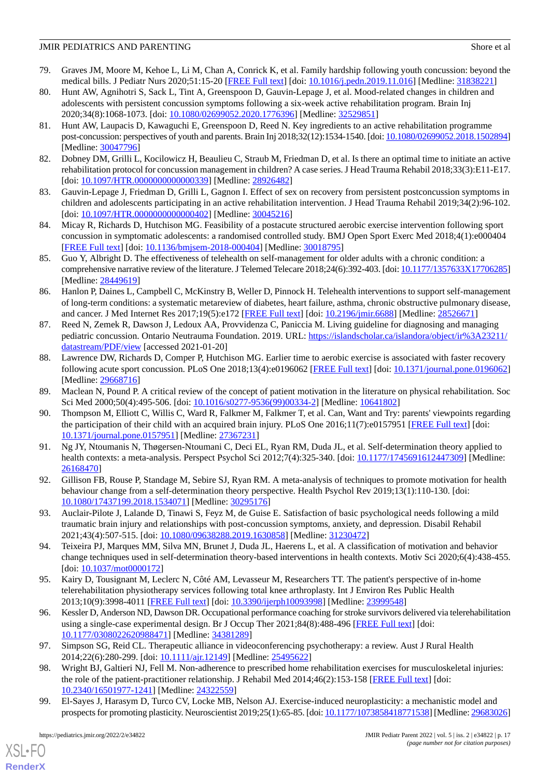- <span id="page-16-0"></span>79. Graves JM, Moore M, Kehoe L, Li M, Chan A, Conrick K, et al. Family hardship following youth concussion: beyond the medical bills. J Pediatr Nurs 2020;51:15-20 [[FREE Full text](http://europepmc.org/abstract/MED/31838221)] [doi: [10.1016/j.pedn.2019.11.016\]](http://dx.doi.org/10.1016/j.pedn.2019.11.016) [Medline: [31838221\]](http://www.ncbi.nlm.nih.gov/entrez/query.fcgi?cmd=Retrieve&db=PubMed&list_uids=31838221&dopt=Abstract)
- <span id="page-16-1"></span>80. Hunt AW, Agnihotri S, Sack L, Tint A, Greenspoon D, Gauvin-Lepage J, et al. Mood-related changes in children and adolescents with persistent concussion symptoms following a six-week active rehabilitation program. Brain Inj 2020;34(8):1068-1073. [doi: [10.1080/02699052.2020.1776396\]](http://dx.doi.org/10.1080/02699052.2020.1776396) [Medline: [32529851](http://www.ncbi.nlm.nih.gov/entrez/query.fcgi?cmd=Retrieve&db=PubMed&list_uids=32529851&dopt=Abstract)]
- <span id="page-16-5"></span>81. Hunt AW, Laupacis D, Kawaguchi E, Greenspoon D, Reed N. Key ingredients to an active rehabilitation programme post-concussion: perspectives of youth and parents. Brain Inj 2018;32(12):1534-1540. [doi: [10.1080/02699052.2018.1502894\]](http://dx.doi.org/10.1080/02699052.2018.1502894) [Medline: [30047796](http://www.ncbi.nlm.nih.gov/entrez/query.fcgi?cmd=Retrieve&db=PubMed&list_uids=30047796&dopt=Abstract)]
- <span id="page-16-4"></span><span id="page-16-3"></span>82. Dobney DM, Grilli L, Kocilowicz H, Beaulieu C, Straub M, Friedman D, et al. Is there an optimal time to initiate an active rehabilitation protocol for concussion management in children? A case series. J Head Trauma Rehabil 2018;33(3):E11-E17. [doi: [10.1097/HTR.0000000000000339\]](http://dx.doi.org/10.1097/HTR.0000000000000339) [Medline: [28926482\]](http://www.ncbi.nlm.nih.gov/entrez/query.fcgi?cmd=Retrieve&db=PubMed&list_uids=28926482&dopt=Abstract)
- <span id="page-16-2"></span>83. Gauvin-Lepage J, Friedman D, Grilli L, Gagnon I. Effect of sex on recovery from persistent postconcussion symptoms in children and adolescents participating in an active rehabilitation intervention. J Head Trauma Rehabil 2019;34(2):96-102. [doi: 10.1097/HTR.00000000000000402] [Medline: [30045216\]](http://www.ncbi.nlm.nih.gov/entrez/query.fcgi?cmd=Retrieve&db=PubMed&list_uids=30045216&dopt=Abstract)
- <span id="page-16-6"></span>84. Micay R, Richards D, Hutchison MG. Feasibility of a postacute structured aerobic exercise intervention following sport concussion in symptomatic adolescents: a randomised controlled study. BMJ Open Sport Exerc Med 2018;4(1):e000404 [[FREE Full text](https://doi.org/10.1136/bmjsem-2018-000404)] [doi: [10.1136/bmjsem-2018-000404](http://dx.doi.org/10.1136/bmjsem-2018-000404)] [Medline: [30018795\]](http://www.ncbi.nlm.nih.gov/entrez/query.fcgi?cmd=Retrieve&db=PubMed&list_uids=30018795&dopt=Abstract)
- <span id="page-16-7"></span>85. Guo Y, Albright D. The effectiveness of telehealth on self-management for older adults with a chronic condition: a comprehensive narrative review of the literature. J Telemed Telecare 2018;24(6):392-403. [doi: [10.1177/1357633X17706285\]](http://dx.doi.org/10.1177/1357633X17706285) [Medline: [28449619](http://www.ncbi.nlm.nih.gov/entrez/query.fcgi?cmd=Retrieve&db=PubMed&list_uids=28449619&dopt=Abstract)]
- <span id="page-16-8"></span>86. Hanlon P, Daines L, Campbell C, McKinstry B, Weller D, Pinnock H. Telehealth interventions to support self-management of long-term conditions: a systematic metareview of diabetes, heart failure, asthma, chronic obstructive pulmonary disease, and cancer. J Med Internet Res 2017;19(5):e172 [[FREE Full text](https://www.jmir.org/2017/5/e172/)] [doi: [10.2196/jmir.6688](http://dx.doi.org/10.2196/jmir.6688)] [Medline: [28526671](http://www.ncbi.nlm.nih.gov/entrez/query.fcgi?cmd=Retrieve&db=PubMed&list_uids=28526671&dopt=Abstract)]
- <span id="page-16-9"></span>87. Reed N, Zemek R, Dawson J, Ledoux AA, Provvidenza C, Paniccia M. Living guideline for diagnosing and managing pediatric concussion. Ontario Neutrauma Foundation. 2019. URL: [https://islandscholar.ca/islandora/object/ir%3A23211/](https://islandscholar.ca/islandora/object/ir%3A23211/datastream/PDF/view) [datastream/PDF/view](https://islandscholar.ca/islandora/object/ir%3A23211/datastream/PDF/view) [accessed 2021-01-20]
- <span id="page-16-11"></span><span id="page-16-10"></span>88. Lawrence DW, Richards D, Comper P, Hutchison MG. Earlier time to aerobic exercise is associated with faster recovery following acute sport concussion. PLoS One 2018;13(4):e0196062 [\[FREE Full text](https://dx.plos.org/10.1371/journal.pone.0196062)] [doi: [10.1371/journal.pone.0196062](http://dx.doi.org/10.1371/journal.pone.0196062)] [Medline: [29668716](http://www.ncbi.nlm.nih.gov/entrez/query.fcgi?cmd=Retrieve&db=PubMed&list_uids=29668716&dopt=Abstract)]
- 89. Maclean N, Pound P. A critical review of the concept of patient motivation in the literature on physical rehabilitation. Soc Sci Med 2000;50(4):495-506. [doi: [10.1016/s0277-9536\(99\)00334-2](http://dx.doi.org/10.1016/s0277-9536(99)00334-2)] [Medline: [10641802\]](http://www.ncbi.nlm.nih.gov/entrez/query.fcgi?cmd=Retrieve&db=PubMed&list_uids=10641802&dopt=Abstract)
- <span id="page-16-12"></span>90. Thompson M, Elliott C, Willis C, Ward R, Falkmer M, Falkmer T, et al. Can, Want and Try: parents' viewpoints regarding the participation of their child with an acquired brain injury. PLoS One 2016;11(7):e0157951 [\[FREE Full text\]](https://dx.plos.org/10.1371/journal.pone.0157951) [doi: [10.1371/journal.pone.0157951\]](http://dx.doi.org/10.1371/journal.pone.0157951) [Medline: [27367231](http://www.ncbi.nlm.nih.gov/entrez/query.fcgi?cmd=Retrieve&db=PubMed&list_uids=27367231&dopt=Abstract)]
- <span id="page-16-14"></span><span id="page-16-13"></span>91. Ng JY, Ntoumanis N, Thøgersen-Ntoumani C, Deci EL, Ryan RM, Duda JL, et al. Self-determination theory applied to health contexts: a meta-analysis. Perspect Psychol Sci 2012;7(4):325-340. [doi: [10.1177/1745691612447309\]](http://dx.doi.org/10.1177/1745691612447309) [Medline: [26168470](http://www.ncbi.nlm.nih.gov/entrez/query.fcgi?cmd=Retrieve&db=PubMed&list_uids=26168470&dopt=Abstract)]
- <span id="page-16-15"></span>92. Gillison FB, Rouse P, Standage M, Sebire SJ, Ryan RM. A meta-analysis of techniques to promote motivation for health behaviour change from a self-determination theory perspective. Health Psychol Rev 2019;13(1):110-130. [doi: [10.1080/17437199.2018.1534071\]](http://dx.doi.org/10.1080/17437199.2018.1534071) [Medline: [30295176\]](http://www.ncbi.nlm.nih.gov/entrez/query.fcgi?cmd=Retrieve&db=PubMed&list_uids=30295176&dopt=Abstract)
- <span id="page-16-16"></span>93. Auclair-Pilote J, Lalande D, Tinawi S, Feyz M, de Guise E. Satisfaction of basic psychological needs following a mild traumatic brain injury and relationships with post-concussion symptoms, anxiety, and depression. Disabil Rehabil 2021;43(4):507-515. [doi: [10.1080/09638288.2019.1630858\]](http://dx.doi.org/10.1080/09638288.2019.1630858) [Medline: [31230472](http://www.ncbi.nlm.nih.gov/entrez/query.fcgi?cmd=Retrieve&db=PubMed&list_uids=31230472&dopt=Abstract)]
- <span id="page-16-17"></span>94. Teixeira PJ, Marques MM, Silva MN, Brunet J, Duda JL, Haerens L, et al. A classification of motivation and behavior change techniques used in self-determination theory-based interventions in health contexts. Motiv Sci 2020;6(4):438-455. [doi: [10.1037/mot0000172\]](http://dx.doi.org/10.1037/mot0000172)
- <span id="page-16-18"></span>95. Kairy D, Tousignant M, Leclerc N, Côté AM, Levasseur M, Researchers TT. The patient's perspective of in-home telerehabilitation physiotherapy services following total knee arthroplasty. Int J Environ Res Public Health 2013;10(9):3998-4011 [[FREE Full text](https://www.mdpi.com/resolver?pii=ijerph10093998)] [doi: [10.3390/ijerph10093998](http://dx.doi.org/10.3390/ijerph10093998)] [Medline: [23999548\]](http://www.ncbi.nlm.nih.gov/entrez/query.fcgi?cmd=Retrieve&db=PubMed&list_uids=23999548&dopt=Abstract)
- <span id="page-16-19"></span>96. Kessler D, Anderson ND, Dawson DR. Occupational performance coaching for stroke survivors delivered via telerehabilitation using a single-case experimental design. Br J Occup Ther 2021;84(8):488-496 [[FREE Full text\]](https://journals.sagepub.com/doi/10.1177/0308022620988471?url_ver=Z39.88-2003&rfr_id=ori:rid:crossref.org&rfr_dat=cr_pub%3dpubmed) [doi: [10.1177/0308022620988471\]](http://dx.doi.org/10.1177/0308022620988471) [Medline: [34381289\]](http://www.ncbi.nlm.nih.gov/entrez/query.fcgi?cmd=Retrieve&db=PubMed&list_uids=34381289&dopt=Abstract)
- <span id="page-16-20"></span>97. Simpson SG, Reid CL. Therapeutic alliance in videoconferencing psychotherapy: a review. Aust J Rural Health 2014;22(6):280-299. [doi: [10.1111/ajr.12149](http://dx.doi.org/10.1111/ajr.12149)] [Medline: [25495622](http://www.ncbi.nlm.nih.gov/entrez/query.fcgi?cmd=Retrieve&db=PubMed&list_uids=25495622&dopt=Abstract)]
- 98. Wright BJ, Galtieri NJ, Fell M. Non-adherence to prescribed home rehabilitation exercises for musculoskeletal injuries: the role of the patient-practitioner relationship. J Rehabil Med 2014;46(2):153-158 [\[FREE Full text\]](https://www.medicaljournals.se/jrm/content/abstract/10.2340/16501977-1241) [doi: [10.2340/16501977-1241](http://dx.doi.org/10.2340/16501977-1241)] [Medline: [24322559\]](http://www.ncbi.nlm.nih.gov/entrez/query.fcgi?cmd=Retrieve&db=PubMed&list_uids=24322559&dopt=Abstract)
- 99. El-Sayes J, Harasym D, Turco CV, Locke MB, Nelson AJ. Exercise-induced neuroplasticity: a mechanistic model and prospects for promoting plasticity. Neuroscientist 2019;25(1):65-85. [doi: [10.1177/1073858418771538\]](http://dx.doi.org/10.1177/1073858418771538) [Medline: [29683026](http://www.ncbi.nlm.nih.gov/entrez/query.fcgi?cmd=Retrieve&db=PubMed&list_uids=29683026&dopt=Abstract)]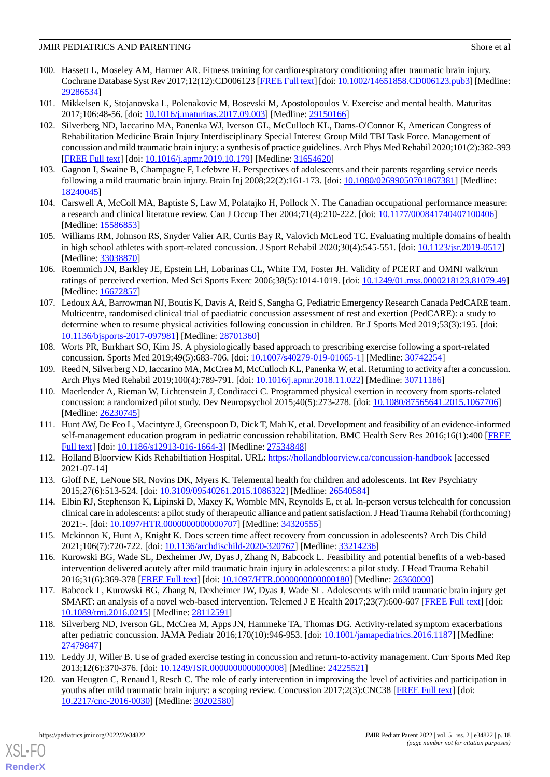- <span id="page-17-0"></span>100. Hassett L, Moseley AM, Harmer AR. Fitness training for cardiorespiratory conditioning after traumatic brain injury. Cochrane Database Syst Rev 2017;12(12):CD006123 [\[FREE Full text](http://europepmc.org/abstract/MED/29286534)] [doi: [10.1002/14651858.CD006123.pub3\]](http://dx.doi.org/10.1002/14651858.CD006123.pub3) [Medline: [29286534](http://www.ncbi.nlm.nih.gov/entrez/query.fcgi?cmd=Retrieve&db=PubMed&list_uids=29286534&dopt=Abstract)]
- <span id="page-17-2"></span><span id="page-17-1"></span>101. Mikkelsen K, Stojanovska L, Polenakovic M, Bosevski M, Apostolopoulos V. Exercise and mental health. Maturitas 2017;106:48-56. [doi: [10.1016/j.maturitas.2017.09.003](http://dx.doi.org/10.1016/j.maturitas.2017.09.003)] [Medline: [29150166\]](http://www.ncbi.nlm.nih.gov/entrez/query.fcgi?cmd=Retrieve&db=PubMed&list_uids=29150166&dopt=Abstract)
- 102. Silverberg ND, Iaccarino MA, Panenka WJ, Iverson GL, McCulloch KL, Dams-O'Connor K, American Congress of Rehabilitation Medicine Brain Injury Interdisciplinary Special Interest Group Mild TBI Task Force. Management of concussion and mild traumatic brain injury: a synthesis of practice guidelines. Arch Phys Med Rehabil 2020;101(2):382-393 [[FREE Full text](https://linkinghub.elsevier.com/retrieve/pii/S0003-9993(19)31305-X)] [doi: [10.1016/j.apmr.2019.10.179](http://dx.doi.org/10.1016/j.apmr.2019.10.179)] [Medline: [31654620](http://www.ncbi.nlm.nih.gov/entrez/query.fcgi?cmd=Retrieve&db=PubMed&list_uids=31654620&dopt=Abstract)]
- <span id="page-17-4"></span><span id="page-17-3"></span>103. Gagnon I, Swaine B, Champagne F, Lefebvre H. Perspectives of adolescents and their parents regarding service needs following a mild traumatic brain injury. Brain Inj 2008;22(2):161-173. [doi: [10.1080/02699050701867381](http://dx.doi.org/10.1080/02699050701867381)] [Medline: [18240045](http://www.ncbi.nlm.nih.gov/entrez/query.fcgi?cmd=Retrieve&db=PubMed&list_uids=18240045&dopt=Abstract)]
- <span id="page-17-5"></span>104. Carswell A, McColl MA, Baptiste S, Law M, Polatajko H, Pollock N. The Canadian occupational performance measure: a research and clinical literature review. Can J Occup Ther 2004;71(4):210-222. [doi: [10.1177/000841740407100406](http://dx.doi.org/10.1177/000841740407100406)] [Medline: [15586853](http://www.ncbi.nlm.nih.gov/entrez/query.fcgi?cmd=Retrieve&db=PubMed&list_uids=15586853&dopt=Abstract)]
- <span id="page-17-6"></span>105. Williams RM, Johnson RS, Snyder Valier AR, Curtis Bay R, Valovich McLeod TC. Evaluating multiple domains of health in high school athletes with sport-related concussion. J Sport Rehabil 2020;30(4):545-551. [doi: [10.1123/jsr.2019-0517](http://dx.doi.org/10.1123/jsr.2019-0517)] [Medline: [33038870](http://www.ncbi.nlm.nih.gov/entrez/query.fcgi?cmd=Retrieve&db=PubMed&list_uids=33038870&dopt=Abstract)]
- <span id="page-17-7"></span>106. Roemmich JN, Barkley JE, Epstein LH, Lobarinas CL, White TM, Foster JH. Validity of PCERT and OMNI walk/run ratings of perceived exertion. Med Sci Sports Exerc 2006;38(5):1014-1019. [doi: [10.1249/01.mss.0000218123.81079.49](http://dx.doi.org/10.1249/01.mss.0000218123.81079.49)] [Medline: [16672857](http://www.ncbi.nlm.nih.gov/entrez/query.fcgi?cmd=Retrieve&db=PubMed&list_uids=16672857&dopt=Abstract)]
- <span id="page-17-8"></span>107. Ledoux AA, Barrowman NJ, Boutis K, Davis A, Reid S, Sangha G, Pediatric Emergency Research Canada PedCARE team. Multicentre, randomised clinical trial of paediatric concussion assessment of rest and exertion (PedCARE): a study to determine when to resume physical activities following concussion in children. Br J Sports Med 2019;53(3):195. [doi: [10.1136/bjsports-2017-097981](http://dx.doi.org/10.1136/bjsports-2017-097981)] [Medline: [28701360\]](http://www.ncbi.nlm.nih.gov/entrez/query.fcgi?cmd=Retrieve&db=PubMed&list_uids=28701360&dopt=Abstract)
- <span id="page-17-10"></span><span id="page-17-9"></span>108. Worts PR, Burkhart SO, Kim JS. A physiologically based approach to prescribing exercise following a sport-related concussion. Sports Med 2019;49(5):683-706. [doi: [10.1007/s40279-019-01065-1\]](http://dx.doi.org/10.1007/s40279-019-01065-1) [Medline: [30742254\]](http://www.ncbi.nlm.nih.gov/entrez/query.fcgi?cmd=Retrieve&db=PubMed&list_uids=30742254&dopt=Abstract)
- 109. Reed N, Silverberg ND, Iaccarino MA, McCrea M, McCulloch KL, Panenka W, et al. Returning to activity after a concussion. Arch Phys Med Rehabil 2019;100(4):789-791. [doi: [10.1016/j.apmr.2018.11.022](http://dx.doi.org/10.1016/j.apmr.2018.11.022)] [Medline: [30711186](http://www.ncbi.nlm.nih.gov/entrez/query.fcgi?cmd=Retrieve&db=PubMed&list_uids=30711186&dopt=Abstract)]
- <span id="page-17-11"></span>110. Maerlender A, Rieman W, Lichtenstein J, Condiracci C. Programmed physical exertion in recovery from sports-related concussion: a randomized pilot study. Dev Neuropsychol 2015;40(5):273-278. [doi: [10.1080/87565641.2015.1067706\]](http://dx.doi.org/10.1080/87565641.2015.1067706) [Medline: [26230745](http://www.ncbi.nlm.nih.gov/entrez/query.fcgi?cmd=Retrieve&db=PubMed&list_uids=26230745&dopt=Abstract)]
- <span id="page-17-13"></span><span id="page-17-12"></span>111. Hunt AW, De Feo L, Macintyre J, Greenspoon D, Dick T, Mah K, et al. Development and feasibility of an evidence-informed self-management education program in pediatric concussion rehabilitation. BMC Health Serv Res 2016;16(1):400 [\[FREE](https://bmchealthservres.biomedcentral.com/articles/10.1186/s12913-016-1664-3) [Full text\]](https://bmchealthservres.biomedcentral.com/articles/10.1186/s12913-016-1664-3) [doi: [10.1186/s12913-016-1664-3](http://dx.doi.org/10.1186/s12913-016-1664-3)] [Medline: [27534848](http://www.ncbi.nlm.nih.gov/entrez/query.fcgi?cmd=Retrieve&db=PubMed&list_uids=27534848&dopt=Abstract)]
- <span id="page-17-14"></span>112. Holland Bloorview Kids Rehabiltiation Hospital. URL:<https://hollandbloorview.ca/concussion-handbook> [accessed 2021-07-14]
- <span id="page-17-15"></span>113. Gloff NE, LeNoue SR, Novins DK, Myers K. Telemental health for children and adolescents. Int Rev Psychiatry 2015;27(6):513-524. [doi: [10.3109/09540261.2015.1086322\]](http://dx.doi.org/10.3109/09540261.2015.1086322) [Medline: [26540584](http://www.ncbi.nlm.nih.gov/entrez/query.fcgi?cmd=Retrieve&db=PubMed&list_uids=26540584&dopt=Abstract)]
- <span id="page-17-16"></span>114. Elbin RJ, Stephenson K, Lipinski D, Maxey K, Womble MN, Reynolds E, et al. In-person versus telehealth for concussion clinical care in adolescents: a pilot study of therapeutic alliance and patient satisfaction. J Head Trauma Rehabil (forthcoming) 2021:-. [doi: [10.1097/HTR.0000000000000707\]](http://dx.doi.org/10.1097/HTR.0000000000000707) [Medline: [34320555\]](http://www.ncbi.nlm.nih.gov/entrez/query.fcgi?cmd=Retrieve&db=PubMed&list_uids=34320555&dopt=Abstract)
- <span id="page-17-17"></span>115. Mckinnon K, Hunt A, Knight K. Does screen time affect recovery from concussion in adolescents? Arch Dis Child 2021;106(7):720-722. [doi: [10.1136/archdischild-2020-320767](http://dx.doi.org/10.1136/archdischild-2020-320767)] [Medline: [33214236](http://www.ncbi.nlm.nih.gov/entrez/query.fcgi?cmd=Retrieve&db=PubMed&list_uids=33214236&dopt=Abstract)]
- <span id="page-17-18"></span>116. Kurowski BG, Wade SL, Dexheimer JW, Dyas J, Zhang N, Babcock L. Feasibility and potential benefits of a web-based intervention delivered acutely after mild traumatic brain injury in adolescents: a pilot study. J Head Trauma Rehabil 2016;31(6):369-378 [[FREE Full text](http://europepmc.org/abstract/MED/26360000)] [doi: [10.1097/HTR.0000000000000180](http://dx.doi.org/10.1097/HTR.0000000000000180)] [Medline: [26360000](http://www.ncbi.nlm.nih.gov/entrez/query.fcgi?cmd=Retrieve&db=PubMed&list_uids=26360000&dopt=Abstract)]
- <span id="page-17-19"></span>117. Babcock L, Kurowski BG, Zhang N, Dexheimer JW, Dyas J, Wade SL. Adolescents with mild traumatic brain injury get SMART: an analysis of a novel web-based intervention. Telemed J E Health 2017;23(7):600-607 [[FREE Full text](http://europepmc.org/abstract/MED/28112591)] [doi: [10.1089/tmj.2016.0215](http://dx.doi.org/10.1089/tmj.2016.0215)] [Medline: [28112591\]](http://www.ncbi.nlm.nih.gov/entrez/query.fcgi?cmd=Retrieve&db=PubMed&list_uids=28112591&dopt=Abstract)
- <span id="page-17-20"></span>118. Silverberg ND, Iverson GL, McCrea M, Apps JN, Hammeke TA, Thomas DG. Activity-related symptom exacerbations after pediatric concussion. JAMA Pediatr 2016;170(10):946-953. [doi: [10.1001/jamapediatrics.2016.1187\]](http://dx.doi.org/10.1001/jamapediatrics.2016.1187) [Medline: [27479847](http://www.ncbi.nlm.nih.gov/entrez/query.fcgi?cmd=Retrieve&db=PubMed&list_uids=27479847&dopt=Abstract)]
- 119. Leddy JJ, Willer B. Use of graded exercise testing in concussion and return-to-activity management. Curr Sports Med Rep 2013;12(6):370-376. [doi: [10.1249/JSR.0000000000000008](http://dx.doi.org/10.1249/JSR.0000000000000008)] [Medline: [24225521](http://www.ncbi.nlm.nih.gov/entrez/query.fcgi?cmd=Retrieve&db=PubMed&list_uids=24225521&dopt=Abstract)]
- 120. van Heugten C, Renaud I, Resch C. The role of early intervention in improving the level of activities and participation in youths after mild traumatic brain injury: a scoping review. Concussion 2017;2(3):CNC38 [\[FREE Full text\]](https://www.futuremedicine.com/doi/abs/10.2217/cnc-2016-0030?url_ver=Z39.88-2003&rfr_id=ori:rid:crossref.org&rfr_dat=cr_pub%3dpubmed) [doi: [10.2217/cnc-2016-0030](http://dx.doi.org/10.2217/cnc-2016-0030)] [Medline: [30202580](http://www.ncbi.nlm.nih.gov/entrez/query.fcgi?cmd=Retrieve&db=PubMed&list_uids=30202580&dopt=Abstract)]